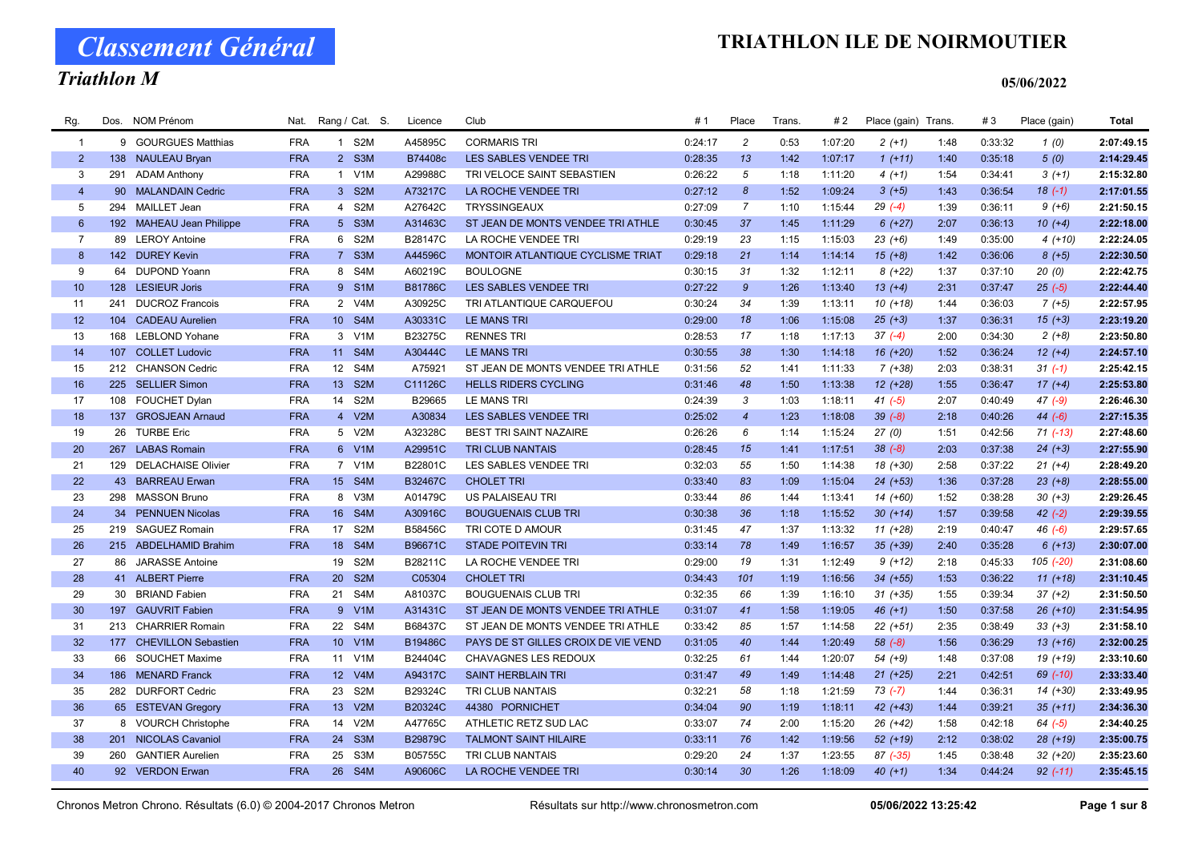### Triathlon M

#### 05/06/2022

| Rg.             | Dos. | <b>NOM Prénom</b>        | Nat.       |                 | Rang / Cat. S.   | Licence        | Club                                | #1      | Place            | <b>Trans</b> | #2      | Place (gain) Trans |      | #3      | Place (gain) | <b>Total</b> |
|-----------------|------|--------------------------|------------|-----------------|------------------|----------------|-------------------------------------|---------|------------------|--------------|---------|--------------------|------|---------|--------------|--------------|
| $\overline{1}$  |      | 9 GOURGUES Matthias      | <b>FRA</b> |                 | 1 S2M            | A45895C        | <b>CORMARIS TRI</b>                 | 0:24:17 | $\overline{c}$   | 0:53         | 1:07:20 | $2(+1)$            | 1:48 | 0:33:32 | 1(0)         | 2:07:49.15   |
| $2^{\circ}$     |      | 138 NAULEAU Bryan        | <b>FRA</b> |                 | 2 S3M            | B74408c        | LES SABLES VENDEE TRI               | 0:28:35 | 13               | 1:42         | 1:07:17 | $1(+11)$           | 1:40 | 0:35:18 | 5(0)         | 2:14:29.45   |
| 3               | 291  | <b>ADAM Anthony</b>      | <b>FRA</b> |                 | 1 V1M            | A29988C        | TRI VELOCE SAINT SEBASTIEN          | 0:26:22 | 5                | 1:18         | 1:11:20 | $4(+1)$            | 1:54 | 0:34:41 | $3(+1)$      | 2:15:32.80   |
| $\overline{4}$  |      | 90 MALANDAIN Cedric      | <b>FRA</b> |                 | 3 S2M            | A73217C        | LA ROCHE VENDEE TRI                 | 0:27:12 | $\boldsymbol{8}$ | 1:52         | 1:09:24 | $3(+5)$            | 1:43 | 0:36:54 | $18(-1)$     | 2:17:01.55   |
| 5               | 294  | <b>MAILLET Jean</b>      | <b>FRA</b> |                 | 4 S2M            | A27642C        | <b>TRYSSINGEAUX</b>                 | 0:27:09 | $\overline{7}$   | 1:10         | 1:15:44 | $29( -4)$          | 1:39 | 0:36:11 | $9 (+6)$     | 2:21:50.15   |
| $6\phantom{.}$  |      | 192 MAHEAU Jean Philippe | <b>FRA</b> | 5 <sup>5</sup>  | S3M              | A31463C        | ST JEAN DE MONTS VENDEE TRI ATHLE   | 0:30:45 | 37               | 1:45         | 1:11:29 | $6 (+27)$          | 2:07 | 0:36:13 | $10 (+4)$    | 2:22:18.00   |
| $\overline{7}$  |      | 89 LEROY Antoine         | <b>FRA</b> |                 | 6 S2M            | B28147C        | LA ROCHE VENDEE TRI                 | 0:29:19 | 23               | 1:15         | 1:15:03 | $23 (+6)$          | 1:49 | 0:35:00 | $4(+10)$     | 2:22:24.05   |
| 8               |      | 142 DUREY Kevin          | <b>FRA</b> |                 | 7 S3M            | A44596C        | MONTOIR ATLANTIQUE CYCLISME TRIAT   | 0:29:18 | 21               | 1:14         | 1:14:14 | $15(+8)$           | 1:42 | 0:36:06 | $8(+5)$      | 2:22:30.50   |
| 9               |      | 64 DUPOND Yoann          | <b>FRA</b> |                 | 8 S4M            | A60219C        | <b>BOULOGNE</b>                     | 0:30:15 | 31               | 1:32         | 1:12:11 | $8(+22)$           | 1:37 | 0:37:10 | 20(0)        | 2:22:42.75   |
| 10 <sup>°</sup> |      | 128 LESIEUR Joris        | <b>FRA</b> |                 | 9 S1M            | <b>B81786C</b> | <b>LES SABLES VENDEE TRI</b>        | 0:27:22 | $\mathcal{G}$    | 1:26         | 1:13:40 | $13 (+4)$          | 2:31 | 0:37:47 | $25(-5)$     | 2:22:44.40   |
| 11              | 241  | <b>DUCROZ Francois</b>   | <b>FRA</b> |                 | 2 V4M            | A30925C        | TRI ATLANTIQUE CARQUEFOU            | 0:30:24 | 34               | 1:39         | 1:13:11 | $10(+18)$          | 1:44 | 0:36:03 | $7 (+5)$     | 2:22:57.95   |
| 12              |      | 104 CADEAU Aurelien      | <b>FRA</b> | 10 <sup>°</sup> | S4M              | A30331C        | <b>LE MANS TRI</b>                  | 0:29:00 | 18               | 1:06         | 1:15:08 | $25 (+3)$          | 1:37 | 0:36:31 | $15(+3)$     | 2:23:19.20   |
| 13              | 168  | <b>LEBLOND Yohane</b>    | <b>FRA</b> | 3               | V1M              | B23275C        | <b>RENNES TRI</b>                   | 0:28:53 | 17               | 1:18         | 1:17:13 | $37(-4)$           | 2:00 | 0:34:30 | $2(+8)$      | 2:23:50.80   |
| 14              | 107  | <b>COLLET Ludovic</b>    | <b>FRA</b> |                 | 11 S4M           | A30444C        | <b>LE MANS TRI</b>                  | 0:30:55 | 38               | 1:30         | 1:14:18 | 16 (+20)           | 1:52 | 0:36:24 | $12 (+4)$    | 2:24:57.10   |
| 15              |      | 212 CHANSON Cedric       | <b>FRA</b> | 12              | S4M              | A75921         | ST JEAN DE MONTS VENDEE TRI ATHLE   | 0:31:56 | 52               | 1:41         | 1:11:33 | $7(+38)$           | 2:03 | 0:38:31 | $31 (-1)$    | 2:25:42.15   |
| 16              |      | 225 SELLIER Simon        | <b>FRA</b> | 13 <sup>°</sup> | S <sub>2M</sub>  | C11126C        | <b>HELLS RIDERS CYCLING</b>         | 0:31:46 | 48               | 1:50         | 1:13:38 | 12 (+28)           | 1:55 | 0:36:47 | $17 (+4)$    | 2:25:53.80   |
| 17              |      | 108 FOUCHET Dylan        | <b>FRA</b> | 14              | S <sub>2</sub> M | B29665         | LE MANS TRI                         | 0:24:39 | 3                | 1:03         | 1:18:11 | $41 (-5)$          | 2:07 | 0:40:49 | $47(-9)$     | 2:26:46.30   |
| 18              | 137  | <b>GROSJEAN Arnaud</b>   | <b>FRA</b> |                 | 4 V2M            | A30834         | LES SABLES VENDEE TRI               | 0:25:02 | $\overline{4}$   | 1:23         | 1:18:08 | $39(-8)$           | 2:18 | 0:40:26 | $44 (-6)$    | 2:27:15.35   |
| 19              |      | 26 TURBE Eric            | <b>FRA</b> |                 | 5 V2M            | A32328C        | <b>BEST TRI SAINT NAZAIRE</b>       | 0:26:26 | 6                | 1:14         | 1:15:24 | 27(0)              | 1:51 | 0:42:56 | $71 (-13)$   | 2:27:48.60   |
| 20              |      | 267 LABAS Romain         | <b>FRA</b> |                 | 6 V1M            | A29951C        | <b>TRI CLUB NANTAIS</b>             | 0:28:45 | 15               | 1:41         | 1:17:51 | $38(-8)$           | 2:03 | 0:37:38 | $24 (+3)$    | 2:27:55.90   |
| 21              |      | 129 DELACHAISE Olivier   | <b>FRA</b> |                 | 7 V1M            | B22801C        | LES SABLES VENDEE TRI               | 0:32:03 | 55               | 1:50         | 1:14:38 | 18 (+30)           | 2:58 | 0:37:22 | $21 (+4)$    | 2:28:49.20   |
| 22              |      | 43 BARREAU Erwan         | <b>FRA</b> |                 | 15 S4M           | B32467C        | <b>CHOLET TRI</b>                   | 0:33:40 | 83               | 1:09         | 1:15:04 | $24$ (+53)         | 1:36 | 0:37:28 | $23 (+8)$    | 2:28:55.00   |
| 23              |      | 298 MASSON Bruno         | <b>FRA</b> | 8               | V3M              | A01479C        | US PALAISEAU TRI                    | 0:33:44 | 86               | 1:44         | 1:13:41 | 14 (+60)           | 1:52 | 0:38:28 | $30 (+3)$    | 2:29:26.45   |
| 24              |      | 34 PENNUEN Nicolas       | <b>FRA</b> | 16              | S4M              | A30916C        | <b>BOUGUENAIS CLUB TRI</b>          | 0:30:38 | 36               | 1:18         | 1:15:52 | $30 (+14)$         | 1:57 | 0:39:58 | $42 (-2)$    | 2:29:39.55   |
| 25              |      | 219 SAGUEZ Romain        | <b>FRA</b> |                 | 17 S2M           | B58456C        | TRI COTE D AMOUR                    | 0:31:45 | 47               | 1:37         | 1:13:32 | $11 (+28)$         | 2:19 | 0:40:47 | $46(-6)$     | 2:29:57.65   |
| 26              |      | 215 ABDELHAMID Brahim    | <b>FRA</b> | 18              | S4M              | B96671C        | <b>STADE POITEVIN TRI</b>           | 0:33:14 | 78               | 1:49         | 1:16:57 | $35$ $(+39)$       | 2:40 | 0:35:28 | $6(+13)$     | 2:30:07.00   |
| 27              |      | 86 JARASSE Antoine       |            | 19              | S <sub>2</sub> M | B28211C        | LA ROCHE VENDEE TRI                 | 0:29:00 | 19               | 1:31         | 1:12:49 | $9(+12)$           | 2:18 | 0:45:33 | 105 (-20)    | 2:31:08.60   |
| 28              |      | 41 ALBERT Pierre         | <b>FRA</b> | 20              | S <sub>2</sub> M | C05304         | <b>CHOLET TRI</b>                   | 0:34:43 | 101              | 1:19         | 1:16:56 | 34 (+55)           | 1:53 | 0:36:22 | $11 (+18)$   | 2:31:10.45   |
| 29              |      | 30 BRIAND Fabien         | <b>FRA</b> | 21              | S4M              | A81037C        | <b>BOUGUENAIS CLUB TRI</b>          | 0:32:35 | 66               | 1:39         | 1:16:10 | $31 (+35)$         | 1:55 | 0:39:34 | $37 (+2)$    | 2:31:50.50   |
| 30              |      | 197 GAUVRIT Fabien       | <b>FRA</b> |                 | 9 V1M            | A31431C        | ST JEAN DE MONTS VENDEE TRI ATHLE   | 0:31:07 | 41               | 1:58         | 1:19:05 | $46 (+1)$          | 1:50 | 0:37:58 | $26 (+10)$   | 2:31:54.95   |
| 31              |      | 213 CHARRIER Romain      | <b>FRA</b> | 22              | S4M              | B68437C        | ST JEAN DE MONTS VENDEE TRI ATHLE   | 0:33:42 | 85               | 1:57         | 1:14:58 | $22 (+51)$         | 2:35 | 0:38:49 | $33 (+3)$    | 2:31:58.10   |
| 32              |      | 177 CHEVILLON Sebastien  | <b>FRA</b> | 10 <sup>°</sup> | V1M              | B19486C        | PAYS DE ST GILLES CROIX DE VIE VEND | 0:31:05 | 40               | 1:44         | 1:20:49 | $58 (-8)$          | 1:56 | 0:36:29 | $13(+16)$    | 2:32:00.25   |
| 33              | 66   | <b>SOUCHET Maxime</b>    | <b>FRA</b> | 11              | V <sub>1</sub> M | B24404C        | CHAVAGNES LES REDOUX                | 0:32:25 | 61               | 1:44         | 1:20:07 | $54(+9)$           | 1:48 | 0:37:08 | 19 (+19)     | 2:33:10.60   |
| 34              |      | 186 MENARD Franck        | <b>FRA</b> |                 | 12 V4M           | A94317C        | <b>SAINT HERBLAIN TRI</b>           | 0:31:47 | 49               | 1:49         | 1:14:48 | $21 (+25)$         | 2:21 | 0:42:51 | 69 (-10)     | 2:33:33.40   |
| 35              |      | 282 DURFORT Cedric       | <b>FRA</b> | 23              | S <sub>2</sub> M | B29324C        | TRI CLUB NANTAIS                    | 0:32:21 | 58               | 1:18         | 1:21:59 | $73(-7)$           | 1:44 | 0:36:31 | 14 (+30)     | 2:33:49.95   |
| 36              |      | 65 ESTEVAN Gregory       | <b>FRA</b> | 13 <sup>°</sup> | V2M              | B20324C        | 44380 PORNICHET                     | 0:34:04 | 90               | 1:19         | 1:18:11 | $42 (+43)$         | 1:44 | 0:39:21 | $35 (+11)$   | 2:34:36.30   |
| 37              |      | 8 VOURCH Christophe      | <b>FRA</b> | 14              | V2M              | A47765C        | ATHLETIC RETZ SUD LAC               | 0:33:07 | 74               | 2:00         | 1:15:20 | $26 (+42)$         | 1:58 | 0:42:18 | $64 (-5)$    | 2:34:40.25   |
| 38              |      | 201 NICOLAS Cavaniol     | <b>FRA</b> | 24              | S <sub>3</sub> M | <b>B29879C</b> | <b>TALMONT SAINT HILAIRE</b>        | 0:33:11 | 76               | 1:42         | 1:19:56 | 52 (+19)           | 2:12 | 0:38:02 | $28 (+19)$   | 2:35:00.75   |
| 39              | 260  | <b>GANTIER Aurelien</b>  | <b>FRA</b> | 25              | S <sub>3</sub> M | B05755C        | TRI CLUB NANTAIS                    | 0:29:20 | 24               | 1:37         | 1:23:55 | 87 (-35)           | 1:45 | 0:38:48 | $32 (+20)$   | 2:35:23.60   |
| 40              |      | 92 VERDON Erwan          | <b>FRA</b> |                 | 26 S4M           | A90606C        | LA ROCHE VENDEE TRI                 | 0:30:14 | 30               | 1:26         | 1:18:09 | $40 (+1)$          | 1:34 | 0:44:24 | $92$ (-11)   | 2:35:45.15   |
|                 |      |                          |            |                 |                  |                |                                     |         |                  |              |         |                    |      |         |              |              |

Chronos Metron Chrono. Résultats (6.0) © 2004-2017 Chronos Metron Résultats sur http://www.chronosmetron.com 05/06/2022 13:25:42 Page 1 sur 8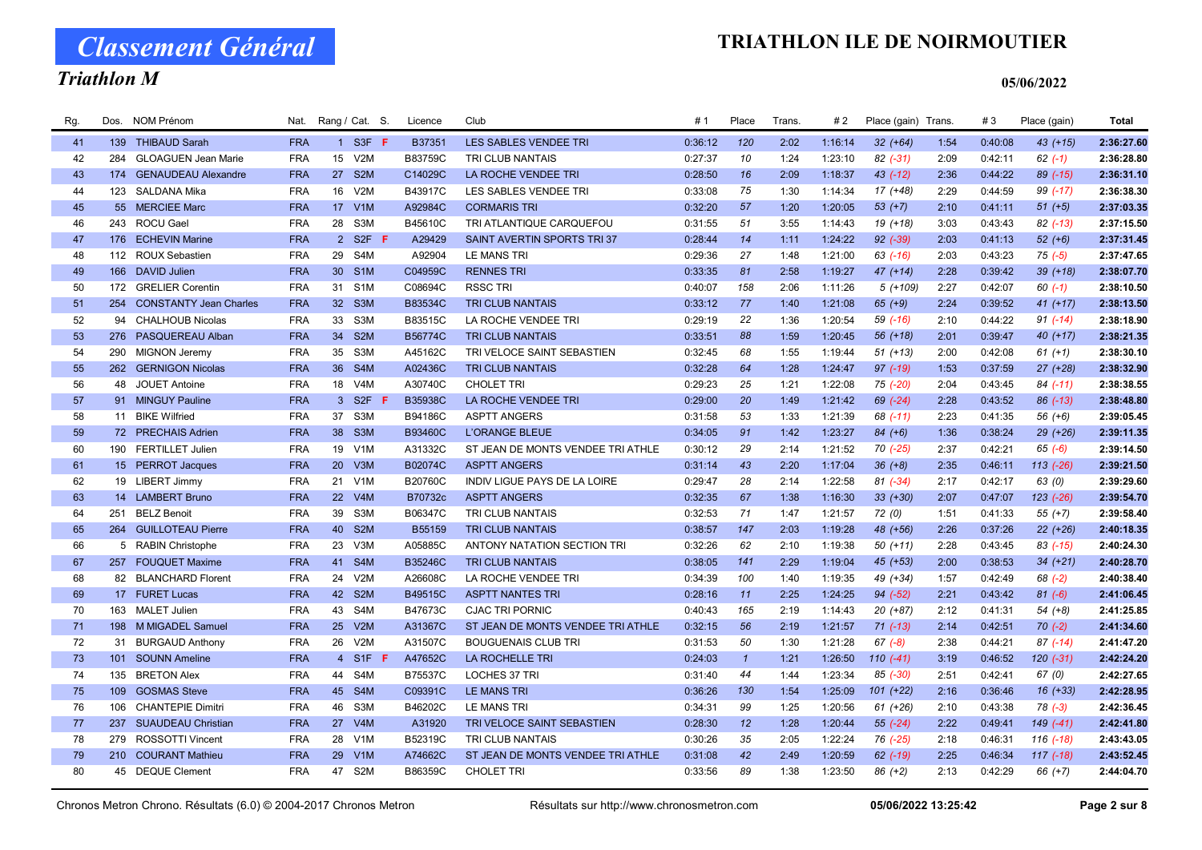Classement Général

# Triathlon M

| Rg. | Dos. | <b>NOM Prénom</b>          | Nat.       |                 | Rang / Cat. S.   | Licence        | Club                              | #1      | Place        | Trans. | # 2     | Place (gain) Trans |      | #3      | Place (gain)  | <b>Total</b> |
|-----|------|----------------------------|------------|-----------------|------------------|----------------|-----------------------------------|---------|--------------|--------|---------|--------------------|------|---------|---------------|--------------|
| 41  |      | 139 THIBAUD Sarah          | <b>FRA</b> |                 | 1 S3F F          | B37351         | LES SABLES VENDEE TRI             | 0:36:12 | 120          | 2:02   | 1:16:14 | $32 (+64)$         | 1:54 | 0:40:08 | $43 (+15)$    | 2:36:27.60   |
| 42  | 284  | <b>GLOAGUEN Jean Marie</b> | <b>FRA</b> |                 | 15 V2M           | B83759C        | TRI CLUB NANTAIS                  | 0:27:37 | 10           | 1:24   | 1:23:10 | $82$ $(-31)$       | 2:09 | 0:42:11 | $62 (-1)$     | 2:36:28.80   |
| 43  |      | 174 GENAUDEAU Alexandre    | <b>FRA</b> | 27              | S <sub>2</sub> M | C14029C        | LA ROCHE VENDEE TRI               | 0:28:50 | 16           | 2:09   | 1:18:37 | $43$ $(-12)$       | 2:36 | 0:44:22 | 89 (-15)      | 2:36:31.10   |
| 44  |      | 123 SALDANA Mika           | <b>FRA</b> | 16              | V2M              | B43917C        | LES SABLES VENDEE TRI             | 0:33:08 | 75           | 1:30   | 1:14:34 | $17(+48)$          | 2:29 | 0:44:59 | 99 (-17)      | 2:36:38.30   |
| 45  |      | 55 MERCIEE Marc            | <b>FRA</b> |                 | 17 V1M           | A92984C        | <b>CORMARIS TRI</b>               | 0:32:20 | 57           | 1:20   | 1:20:05 | $53 (+7)$          | 2:10 | 0:41:11 | $51 (+5)$     | 2:37:03.35   |
| 46  |      | 243 ROCU Gael              | <b>FRA</b> | 28              | S3M              | B45610C        | TRI ATLANTIQUE CARQUEFOU          | 0:31:55 | 51           | 3:55   | 1:14:43 | 19 (+18)           | 3:03 | 0:43:43 | $82$ (-13)    | 2:37:15.50   |
| 47  |      | 176 ECHEVIN Marine         | <b>FRA</b> |                 | 2 S2F F          | A29429         | SAINT AVERTIN SPORTS TRI37        | 0:28:44 | 14           | 1:11   | 1:24:22 | $92$ $(-39)$       | 2:03 | 0:41:13 | $52 (+6)$     | 2:37:31.45   |
| 48  | 112  | <b>ROUX Sebastien</b>      | <b>FRA</b> | 29              | S4M              | A92904         | LE MANS TRI                       | 0:29:36 | 27           | 1:48   | 1:21:00 | $63$ $(-16)$       | 2:03 | 0:43:23 | $75(-5)$      | 2:37:47.65   |
| 49  |      | 166 DAVID Julien           | <b>FRA</b> | 30 <sup>°</sup> | S <sub>1</sub> M | C04959C        | <b>RENNES TRI</b>                 | 0:33:35 | 81           | 2:58   | 1:19:27 | $47 (+14)$         | 2:28 | 0:39:42 | $39 (+18)$    | 2:38:07.70   |
| 50  |      | 172 GRELIER Corentin       | <b>FRA</b> | 31              | S <sub>1</sub> M | C08694C        | <b>RSSC TRI</b>                   | 0:40:07 | 158          | 2:06   | 1:11:26 | $5(+109)$          | 2:27 | 0:42:07 | $60(-1)$      | 2:38:10.50   |
| 51  |      | 254 CONSTANTY Jean Charles | <b>FRA</b> | 32 <sup>2</sup> | S <sub>3</sub> M | B83534C        | <b>TRI CLUB NANTAIS</b>           | 0:33:12 | 77           | 1:40   | 1:21:08 | $65 (+9)$          | 2:24 | 0:39:52 | $41 (+17)$    | 2:38:13.50   |
| 52  |      | 94 CHALHOUB Nicolas        | <b>FRA</b> | 33              | S3M              | B83515C        | LA ROCHE VENDEE TRI               | 0:29:19 | 22           | 1:36   | 1:20:54 | 59 (-16)           | 2:10 | 0:44:22 | $91 (-14)$    | 2:38:18.90   |
| 53  |      | 276 PASQUEREAU Alban       | <b>FRA</b> | 34              | S <sub>2</sub> M | B56774C        | <b>TRI CLUB NANTAIS</b>           | 0:33:51 | 88           | 1:59   | 1:20:45 | 56 (+18)           | 2:01 | 0:39:47 | $40 (+17)$    | 2:38:21.35   |
| 54  | 290  | <b>MIGNON Jeremy</b>       | <b>FRA</b> | 35              | S <sub>3</sub> M | A45162C        | TRI VELOCE SAINT SEBASTIEN        | 0:32:45 | 68           | 1:55   | 1:19:44 | $51 (+13)$         | 2:00 | 0:42:08 | $61 (+1)$     | 2:38:30.10   |
| 55  |      | 262 GERNIGON Nicolas       | <b>FRA</b> | 36              | S4M              | A02436C        | <b>TRI CLUB NANTAIS</b>           | 0:32:28 | 64           | 1:28   | 1:24:47 | 97 (-19)           | 1:53 | 0:37:59 | $27 (+28)$    | 2:38:32.90   |
| 56  | 48   | JOUET Antoine              | <b>FRA</b> | 18              | V4M              | A30740C        | <b>CHOLET TRI</b>                 | 0:29:23 | 25           | 1:21   | 1:22:08 | 75 (-20)           | 2:04 | 0:43:45 | $84$ (-11)    | 2:38:38.55   |
| 57  |      | 91 MINGUY Pauline          | <b>FRA</b> |                 | 3 S2F <b>F</b>   | <b>B35938C</b> | LA ROCHE VENDEE TRI               | 0:29:00 | 20           | 1:49   | 1:21:42 | 69 (-24)           | 2:28 | 0:43:52 | $86$ $(-13)$  | 2:38:48.80   |
| 58  |      | 11 BIKE Wilfried           | <b>FRA</b> | 37              | S <sub>3</sub> M | B94186C        | <b>ASPTT ANGERS</b>               | 0:31:58 | 53           | 1:33   | 1:21:39 | 68 (-11)           | 2:23 | 0:41:35 | $56 (+6)$     | 2:39:05.45   |
| 59  |      | 72 PRECHAIS Adrien         | <b>FRA</b> | 38              | S <sub>3</sub> M | B93460C        | <b>L'ORANGE BLEUE</b>             | 0:34:05 | 91           | 1:42   | 1:23:27 | $84 (+6)$          | 1:36 | 0:38:24 | $29(+26)$     | 2:39:11.35   |
| 60  |      | 190 FERTILLET Julien       | <b>FRA</b> | 19              | V <sub>1</sub> M | A31332C        | ST JEAN DE MONTS VENDEE TRI ATHLE | 0:30:12 | 29           | 2:14   | 1:21:52 | 70 (-25)           | 2:37 | 0:42:21 | $65 (-6)$     | 2:39:14.50   |
| 61  |      | 15 PERROT Jacques          | <b>FRA</b> | 20              | V3M              | B02074C        | <b>ASPTT ANGERS</b>               | 0:31:14 | 43           | 2:20   | 1:17:04 | $36 (+8)$          | 2:35 | 0:46:11 | $113$ $(-26)$ | 2:39:21.50   |
| 62  |      | 19 LIBERT Jimmy            | <b>FRA</b> | 21              | V <sub>1</sub> M | B20760C        | INDIV LIGUE PAYS DE LA LOIRE      | 0:29:47 | 28           | 2:14   | 1:22:58 | $81 (-34)$         | 2:17 | 0:42:17 | 63 (0)        | 2:39:29.60   |
| 63  |      | 14 LAMBERT Bruno           | <b>FRA</b> | 22              | V4M              | B70732c        | <b>ASPTT ANGERS</b>               | 0:32:35 | 67           | 1:38   | 1:16:30 | $33 (+30)$         | 2:07 | 0:47:07 | $123$ $(-26)$ | 2:39:54.70   |
| 64  | 251  | <b>BELZ Benoit</b>         | <b>FRA</b> | 39              | S <sub>3</sub> M | B06347C        | TRI CLUB NANTAIS                  | 0:32:53 | 71           | 1:47   | 1:21:57 | 72(0)              | 1:51 | 0:41:33 | $55(+7)$      | 2:39:58.40   |
| 65  |      | 264 GUILLOTEAU Pierre      | <b>FRA</b> | 40              | S <sub>2</sub> M | B55159         | <b>TRI CLUB NANTAIS</b>           | 0:38:57 | 147          | 2:03   | 1:19:28 | 48 (+56)           | 2:26 | 0:37:26 | $22 (+26)$    | 2:40:18.35   |
| 66  |      | 5 RABIN Christophe         | <b>FRA</b> | 23              | V3M              | A05885C        | ANTONY NATATION SECTION TRI       | 0:32:26 | 62           | 2:10   | 1:19:38 | $50(+11)$          | 2:28 | 0:43:45 | $83$ $(-15)$  | 2:40:24.30   |
| 67  |      | 257 FOUQUET Maxime         | <b>FRA</b> | 41              | S <sub>4</sub> M | B35246C        | <b>TRI CLUB NANTAIS</b>           | 0:38:05 | 141          | 2:29   | 1:19:04 | 45 (+53)           | 2:00 | 0:38:53 | $34 (+21)$    | 2:40:28.70   |
| 68  |      | 82 BLANCHARD Florent       | <b>FRA</b> | 24              | V2M              | A26608C        | LA ROCHE VENDEE TRI               | 0:34:39 | 100          | 1:40   | 1:19:35 | 49 (+34)           | 1:57 | 0:42:49 | $68(-2)$      | 2:40:38.40   |
| 69  |      | 17 FURET Lucas             | <b>FRA</b> |                 | 42 S2M           | B49515C        | <b>ASPTT NANTES TRI</b>           | 0:28:16 | 11           | 2:25   | 1:24:25 | $94 (-52)$         | 2:21 | 0:43:42 | $81 (-6)$     | 2:41:06.45   |
| 70  |      | 163 MALET Julien           | <b>FRA</b> | 43              | S4M              | B47673C        | <b>CJAC TRI PORNIC</b>            | 0:40:43 | 165          | 2:19   | 1:14:43 | 20 (+87)           | 2:12 | 0:41:31 | $54(+8)$      | 2:41:25.85   |
| 71  |      | 198 M MIGADEL Samuel       | <b>FRA</b> | 25              | V2M              | A31367C        | ST JEAN DE MONTS VENDEE TRI ATHLE | 0:32:15 | 56           | 2:19   | 1:21:57 | $71$ $(-13)$       | 2:14 | 0:42:51 | $70(-2)$      | 2:41:34.60   |
| 72  | 31   | <b>BURGAUD Anthony</b>     | <b>FRA</b> | 26              | V2M              | A31507C        | <b>BOUGUENAIS CLUB TRI</b>        | 0:31:53 | 50           | 1:30   | 1:21:28 | $67 (-8)$          | 2:38 | 0:44:21 | $87$ $(-14)$  | 2:41:47.20   |
| 73  | 101  | <b>SOUNN Ameline</b>       | <b>FRA</b> | $\overline{4}$  | S1F              | A47652C        | LA ROCHELLE TRI                   | 0:24:03 | $\mathbf{1}$ | 1:21   | 1:26:50 | $110(-41)$         | 3:19 | 0:46:52 | 120 (-31)     | 2:42:24.20   |
| 74  | 135  | <b>BRETON Alex</b>         | <b>FRA</b> | 44              | S4M              | B75537C        | LOCHES 37 TRI                     | 0:31:40 | 44           | 1:44   | 1:23:34 | 85 (-30)           | 2:51 | 0:42:41 | 67 (0)        | 2:42:27.65   |
| 75  | 109  | <b>GOSMAS Steve</b>        | <b>FRA</b> | 45              | S4M              | C09391C        | <b>LE MANS TRI</b>                | 0:36:26 | 130          | 1:54   | 1:25:09 | $101 (+22)$        | 2:16 | 0:36:46 | $16 (+33)$    | 2:42:28.95   |
| 76  |      | 106 CHANTEPIE Dimitri      | <b>FRA</b> | 46              | S3M              | B46202C        | <b>LE MANS TRI</b>                | 0:34:31 | 99           | 1:25   | 1:20:56 | $61 (+26)$         | 2:10 | 0:43:38 | $78(-3)$      | 2:42:36.45   |
| 77  |      | 237 SUAUDEAU Christian     | <b>FRA</b> | 27              | V4M              | A31920         | TRI VELOCE SAINT SEBASTIEN        | 0:28:30 | 12           | 1:28   | 1:20:44 | 55 (-24)           | 2:22 | 0:49:41 | 149 (-41)     | 2:42:41.80   |
| 78  | 279  | <b>ROSSOTTI Vincent</b>    | <b>FRA</b> | 28              | V <sub>1</sub> M | B52319C        | TRI CLUB NANTAIS                  | 0:30:26 | 35           | 2:05   | 1:22:24 | 76 (-25)           | 2:18 | 0:46:31 | 116 (-18)     | 2:43:43.05   |
| 79  |      | 210 COURANT Mathieu        | <b>FRA</b> | 29              | V1M              | A74662C        | ST JEAN DE MONTS VENDEE TRI ATHLE | 0:31:08 | 42           | 2:49   | 1:20:59 | $62$ $(-19)$       | 2:25 | 0:46:34 | $117(-18)$    | 2:43:52.45   |
| 80  |      | 45 DEQUE Clement           | <b>FRA</b> |                 | 47 S2M           | B86359C        | <b>CHOLET TRI</b>                 | 0:33:56 | 89           | 1:38   | 1:23:50 | $86 (+2)$          | 2:13 | 0:42:29 | $66 (+7)$     | 2:44:04.70   |
|     |      |                            |            |                 |                  |                |                                   |         |              |        |         |                    |      |         |               |              |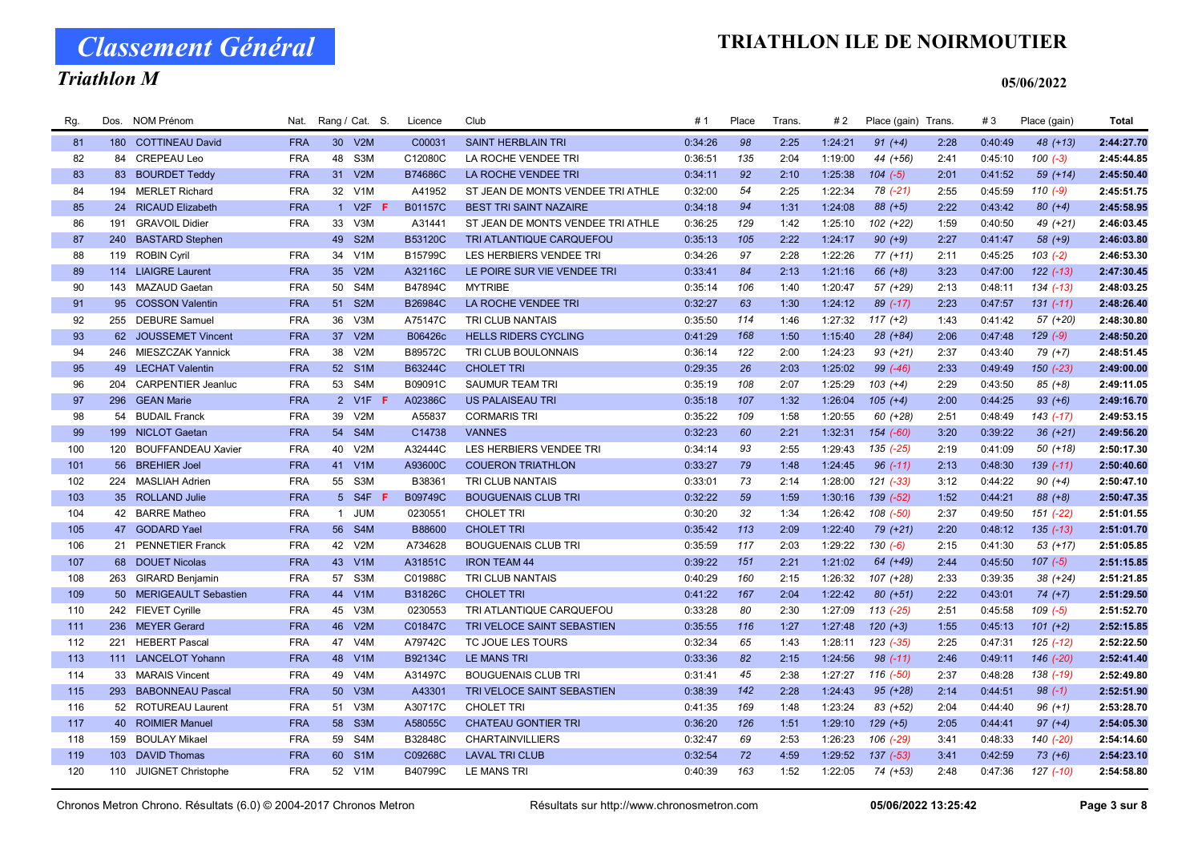Classement Général

# Triathlon M

#### 05/06/2022

| Rg. | Dos. | <b>NOM Prénom</b>         | Nat.       |                 | Rang / Cat. S.   | Licence        | Club                              | #1      | Place | Trans. | # 2     | Place (gain) Trans. |      | #3      | Place (gain)  | <b>Total</b> |
|-----|------|---------------------------|------------|-----------------|------------------|----------------|-----------------------------------|---------|-------|--------|---------|---------------------|------|---------|---------------|--------------|
| 81  |      | 180 COTTINEAU David       | <b>FRA</b> | 30 <sup>°</sup> | V2M              | C00031         | <b>SAINT HERBLAIN TRI</b>         | 0:34:26 | 98    | 2:25   | 1:24:21 | $91 (+4)$           | 2:28 | 0:40:49 | 48 (+13)      | 2:44:27.70   |
| 82  | 84   | CREPEAU Leo               | <b>FRA</b> | 48              | S3M              | C12080C        | LA ROCHE VENDEE TRI               | 0:36:51 | 135   | 2:04   | 1:19:00 | 44 (+56)            | 2:41 | 0:45:10 | $100(-3)$     | 2:45:44.85   |
| 83  |      | 83 BOURDET Teddy          | <b>FRA</b> | 31              | V2M              | B74686C        | LA ROCHE VENDEE TRI               | 0:34:11 | 92    | 2:10   | 1:25:38 | $104 (-5)$          | 2:01 | 0:41:52 | $59(+14)$     | 2:45:50.40   |
| 84  |      | 194 MERLET Richard        | <b>FRA</b> | 32              | V <sub>1</sub> M | A41952         | ST JEAN DE MONTS VENDEE TRI ATHLE | 0:32:00 | 54    | 2:25   | 1:22:34 | 78 (-21)            | 2:55 | 0:45:59 | $110(-9)$     | 2:45:51.75   |
| 85  |      | 24 RICAUD Elizabeth       | <b>FRA</b> |                 | 1 V2F            | B01157C        | <b>BEST TRI SAINT NAZAIRE</b>     | 0:34:18 | 94    | 1:31   | 1:24:08 | 88 (+5)             | 2:22 | 0:43:42 | $80 (+4)$     | 2:45:58.95   |
| 86  | 191  | <b>GRAVOIL Didier</b>     | <b>FRA</b> | 33              | V3M              | A31441         | ST JEAN DE MONTS VENDEE TRI ATHLE | 0:36:25 | 129   | 1:42   | 1:25:10 | $102 (+22)$         | 1:59 | 0:40:50 | 49 (+21)      | 2:46:03.45   |
| 87  | 240  | <b>BASTARD Stephen</b>    |            | 49              | S <sub>2</sub> M | B53120C        | TRI ATLANTIQUE CARQUEFOU          | 0:35:13 | 105   | 2:22   | 1:24:17 | $90 (+9)$           | 2:27 | 0:41:47 | $58 (+9)$     | 2:46:03.80   |
| 88  | 119  | <b>ROBIN Cyril</b>        | <b>FRA</b> | 34              | V <sub>1</sub> M | B15799C        | LES HERBIERS VENDEE TRI           | 0:34:26 | 97    | 2:28   | 1:22:26 | $77(+11)$           | 2:11 | 0:45:25 | $103(-2)$     | 2:46:53.30   |
| 89  |      | 114 LIAIGRE Laurent       | <b>FRA</b> | 35 <sup>5</sup> | V2M              | A32116C        | LE POIRE SUR VIE VENDEE TRI       | 0:33:41 | 84    | 2:13   | 1:21:16 | $66 (+8)$           | 3:23 | 0:47:00 | $122$ $(-13)$ | 2:47:30.45   |
| 90  |      | 143 MAZAUD Gaetan         | <b>FRA</b> | 50              | S <sub>4</sub> M | B47894C        | <b>MYTRIBE</b>                    | 0:35:14 | 106   | 1:40   | 1:20:47 | 57 (+29)            | 2:13 | 0:48:11 | $134$ $(-13)$ | 2:48:03.25   |
| 91  |      | 95 COSSON Valentin        | <b>FRA</b> | 51              | S <sub>2</sub> M | B26984C        | LA ROCHE VENDEE TRI               | 0:32:27 | 63    | 1:30   | 1:24:12 | $89$ (-17)          | 2:23 | 0:47:57 | $131(-11)$    | 2:48:26.40   |
| 92  |      | 255 DEBURE Samuel         | <b>FRA</b> | 36              | V3M              | A75147C        | TRI CLUB NANTAIS                  | 0:35:50 | 114   | 1:46   | 1:27:32 | $117 (+2)$          | 1:43 | 0:41:42 | 57 (+20)      | 2:48:30.80   |
| 93  |      | 62 JOUSSEMET Vincent      | <b>FRA</b> | 37              | V2M              | B06426c        | <b>HELLS RIDERS CYCLING</b>       | 0:41:29 | 168   | 1:50   | 1:15:40 | 28 (+84)            | 2:06 | 0:47:48 | $129(-9)$     | 2:48:50.20   |
| 94  |      | 246 MIESZCZAK Yannick     | <b>FRA</b> | 38              | V2M              | B89572C        | TRI CLUB BOULONNAIS               | 0:36:14 | 122   | 2:00   | 1:24:23 | $93 (+21)$          | 2:37 | 0:43:40 | $79(+7)$      | 2:48:51.45   |
| 95  |      | 49 LECHAT Valentin        | <b>FRA</b> | 52              | S <sub>1</sub> M | B63244C        | <b>CHOLET TRI</b>                 | 0:29:35 | 26    | 2:03   | 1:25:02 | 99 (-46)            | 2:33 | 0:49:49 | 150 (-23)     | 2:49:00.00   |
| 96  | 204  | <b>CARPENTIER Jeanluc</b> | <b>FRA</b> | 53              | S4M              | B09091C        | <b>SAUMUR TEAM TRI</b>            | 0:35:19 | 108   | 2:07   | 1:25:29 | $103 (+4)$          | 2:29 | 0:43:50 | $85 (+8)$     | 2:49:11.05   |
| 97  |      | 296 GEAN Marie            | <b>FRA</b> |                 | 2 V1F F          | A02386C        | <b>US PALAISEAU TRI</b>           | 0:35:18 | 107   | 1:32   | 1:26:04 | $105 (+4)$          | 2:00 | 0:44:25 | $93 (+6)$     | 2:49:16.70   |
| 98  | 54   | <b>BUDAIL Franck</b>      | <b>FRA</b> | 39              | V2M              | A55837         | <b>CORMARIS TRI</b>               | 0:35:22 | 109   | 1:58   | 1:20:55 | 60 (+28)            | 2:51 | 0:48:49 | 143 (-17)     | 2:49:53.15   |
| 99  |      | 199 NICLOT Gaetan         | <b>FRA</b> |                 | 54 S4M           | C14738         | <b>VANNES</b>                     | 0:32:23 | 60    | 2:21   | 1:32:31 | $154 (-60)$         | 3:20 | 0:39:22 | $36 (+21)$    | 2:49:56.20   |
| 100 | 120  | <b>BOUFFANDEAU Xavier</b> | <b>FRA</b> | 40              | V2M              | A32444C        | LES HERBIERS VENDEE TRI           | 0:34:14 | 93    | 2:55   | 1:29:43 | 135 (-25)           | 2:19 | 0:41:09 | $50(+18)$     | 2:50:17.30   |
| 101 |      | 56 BREHIER Joel           | <b>FRA</b> | 41              | V1M              | A93600C        | <b>COUERON TRIATHLON</b>          | 0:33:27 | 79    | 1:48   | 1:24:45 | $96$ $(-11)$        | 2:13 | 0:48:30 | $139(-11)$    | 2:50:40.60   |
| 102 |      | 224 MASLIAH Adrien        | <b>FRA</b> | 55              | S3M              | B38361         | TRI CLUB NANTAIS                  | 0:33:01 | 73    | 2:14   | 1:28:00 | $121$ $(-33)$       | 3:12 | 0:44:22 | $90 (+4)$     | 2:50:47.10   |
| 103 |      | 35 ROLLAND Julie          | <b>FRA</b> | 5 <sup>5</sup>  | S4F              | B09749C        | <b>BOUGUENAIS CLUB TRI</b>        | 0:32:22 | 59    | 1:59   | 1:30:16 | 139 (-52)           | 1:52 | 0:44:21 | $88 (+8)$     | 2:50:47.35   |
| 104 |      | 42 BARRE Matheo           | <b>FRA</b> | $\mathbf{1}$    | <b>JUM</b>       | 0230551        | <b>CHOLET TRI</b>                 | 0:30:20 | 32    | 1:34   | 1:26:42 | 108 (-50)           | 2:37 | 0:49:50 | $151 (-22)$   | 2:51:01.55   |
| 105 |      | 47 GODARD Yael            | <b>FRA</b> | 56              | S4M              | B88600         | <b>CHOLET TRI</b>                 | 0:35:42 | 113   | 2:09   | 1:22:40 | 79 (+21)            | 2:20 | 0:48:12 | $135(-13)$    | 2:51:01.70   |
| 106 |      | 21 PENNETIER Franck       | <b>FRA</b> | 42              | V2M              | A734628        | <b>BOUGUENAIS CLUB TRI</b>        | 0:35:59 | 117   | 2:03   | 1:29:22 | $130(-6)$           | 2:15 | 0:41:30 | $53(+17)$     | 2:51:05.85   |
| 107 |      | 68 DOUET Nicolas          | <b>FRA</b> | 43              | V1M              | A31851C        | <b>IRON TEAM 44</b>               | 0:39:22 | 151   | 2:21   | 1:21:02 | 64 (+49)            | 2:44 | 0:45:50 | $107(-5)$     | 2:51:15.85   |
| 108 | 263  | <b>GIRARD Benjamin</b>    | <b>FRA</b> | 57              | S <sub>3</sub> M | C01988C        | TRI CLUB NANTAIS                  | 0:40:29 | 160   | 2:15   | 1:26:32 | 107 (+28)           | 2:33 | 0:39:35 | $38 (+24)$    | 2:51:21.85   |
| 109 |      | 50 MERIGEAULT Sebastien   | <b>FRA</b> |                 | 44 V1M           | <b>B31826C</b> | <b>CHOLET TRI</b>                 | 0:41:22 | 167   | 2:04   | 1:22:42 | $80 (+51)$          | 2:22 | 0:43:01 | $74(+7)$      | 2:51:29.50   |
| 110 |      | 242 FIEVET Cyrille        | <b>FRA</b> | 45              | V3M              | 0230553        | TRI ATLANTIQUE CARQUEFOU          | 0:33:28 | 80    | 2:30   | 1:27:09 | $113$ $(-25)$       | 2:51 | 0:45:58 | $109(-5)$     | 2:51:52.70   |
| 111 |      | 236 MEYER Gerard          | <b>FRA</b> | 46              | V2M              | C01847C        | TRI VELOCE SAINT SEBASTIEN        | 0:35:55 | 116   | 1:27   | 1:27:48 | $120 (+3)$          | 1:55 | 0:45:13 | $101 (+2)$    | 2:52:15.85   |
| 112 |      | 221 HEBERT Pascal         | <b>FRA</b> | 47              | V <sub>4</sub> M | A79742C        | TC JOUE LES TOURS                 | 0:32:34 | 65    | 1:43   | 1:28:11 | 123 (-35)           | 2:25 | 0:47:31 | 125 (-12)     | 2:52:22.50   |
| 113 |      | 111 LANCELOT Yohann       | <b>FRA</b> | 48              | V1M              | B92134C        | <b>LE MANS TRI</b>                | 0:33:36 | 82    | 2:15   | 1:24:56 | $98$ $(-11)$        | 2:46 | 0:49:11 | 146 (-20)     | 2:52:41.40   |
| 114 | 33   | <b>MARAIS Vincent</b>     | <b>FRA</b> | 49              | V <sub>4</sub> M | A31497C        | <b>BOUGUENAIS CLUB TRI</b>        | 0:31:41 | 45    | 2:38   | 1:27:27 | 116 (-50)           | 2:37 | 0:48:28 | 138 (-19)     | 2:52:49.80   |
| 115 | 293  | <b>BABONNEAU Pascal</b>   | <b>FRA</b> | 50              | V3M              | A43301         | TRI VELOCE SAINT SEBASTIEN        | 0:38:39 | 142   | 2:28   | 1:24:43 | 95 (+28)            | 2:14 | 0:44:51 | $98(-1)$      | 2:52:51.90   |
| 116 |      | 52 ROTUREAU Laurent       | <b>FRA</b> | 51              | V3M              | A30717C        | <b>CHOLET TRI</b>                 | 0:41:35 | 169   | 1:48   | 1:23:24 | 83 (+52)            | 2:04 | 0:44:40 | $96 (+1)$     | 2:53:28.70   |
| 117 |      | 40 ROIMIER Manuel         | <b>FRA</b> | 58              | S <sub>3</sub> M | A58055C        | <b>CHATEAU GONTIER TRI</b>        | 0:36:20 | 126   | 1:51   | 1:29:10 | $129 (+5)$          | 2:05 | 0:44:41 | $97 (+4)$     | 2:54:05.30   |
| 118 | 159  | <b>BOULAY Mikael</b>      | <b>FRA</b> | 59              | S <sub>4</sub> M | B32848C        | <b>CHARTAINVILLIERS</b>           | 0:32:47 | 69    | 2:53   | 1:26:23 | 106 (-29)           | 3:41 | 0:48:33 | 140 (-20)     | 2:54:14.60   |
| 119 |      | 103 DAVID Thomas          | <b>FRA</b> | 60              | S <sub>1</sub> M | C09268C        | <b>LAVAL TRI CLUB</b>             | 0:32:54 | 72    | 4:59   | 1:29:52 | $137$ $(-53)$       | 3:41 | 0:42:59 | $73 (+6)$     | 2:54:23.10   |
| 120 |      | 110 JUIGNET Christophe    | <b>FRA</b> | 52              | V <sub>1</sub> M | B40799C        | <b>LE MANS TRI</b>                | 0:40:39 | 163   | 1:52   | 1:22:05 | 74 (+53)            | 2:48 | 0:47:36 | 127 (-10)     | 2:54:58.80   |
|     |      |                           |            |                 |                  |                |                                   |         |       |        |         |                     |      |         |               |              |

Chronos Metron Chrono. Résultats (6.0) © 2004-2017 Chronos Metron Résultats sur http://www.chronosmetron.com 05/06/2022 13:25:42 Page 3 sur 8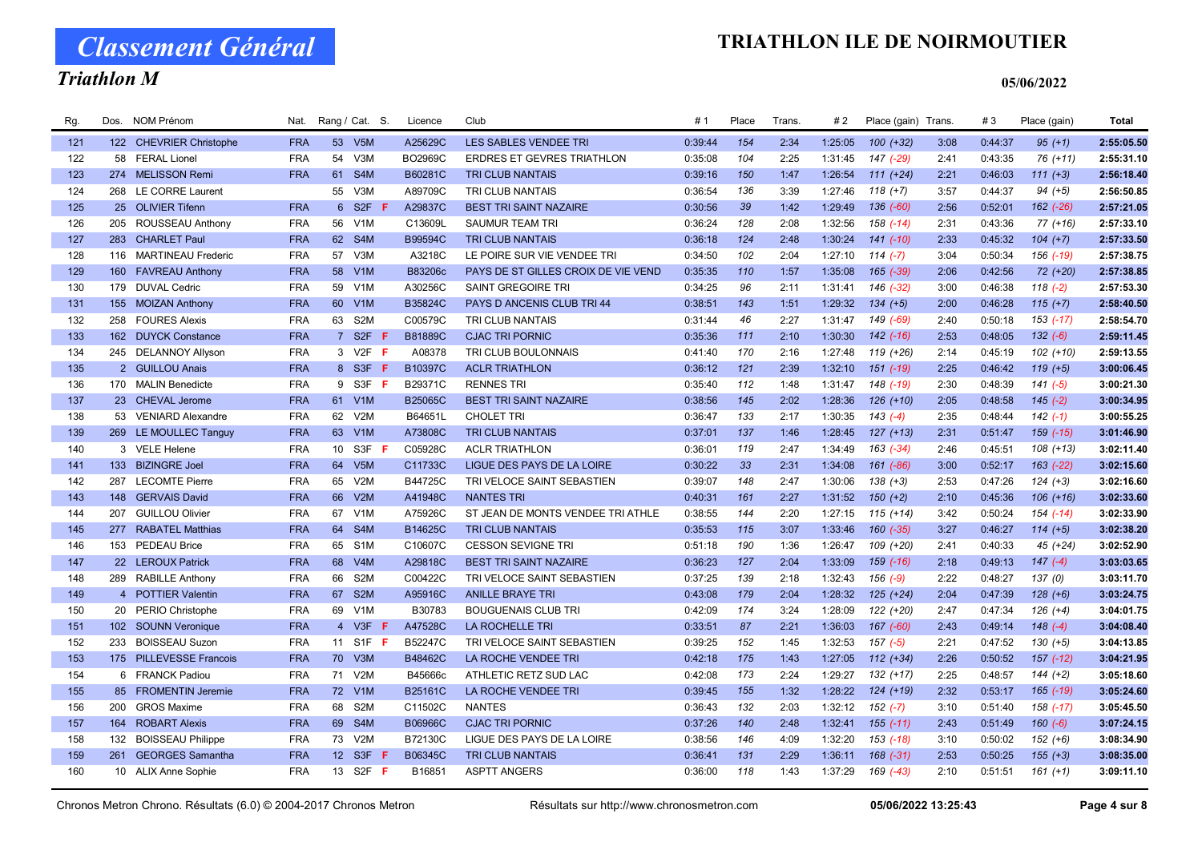Classement Général

# Triathlon M

| Rg. | Dos. | <b>NOM Prénom</b>         | Nat.       |                 | Rang / Cat. S.                 | Licence | Club                                | #1      | Place | <b>Trans</b> | # 2     | Place (gain) Trans. |      | #3      | Place (gain)  | Total      |
|-----|------|---------------------------|------------|-----------------|--------------------------------|---------|-------------------------------------|---------|-------|--------------|---------|---------------------|------|---------|---------------|------------|
| 121 |      | 122 CHEVRIER Christophe   | <b>FRA</b> |                 | 53 V5M                         | A25629C | <b>LES SABLES VENDEE TRI</b>        | 0:39:44 | 154   | 2:34         | 1:25:05 | $100 (+32)$         | 3:08 | 0:44:37 | $95 (+1)$     | 2:55:05.50 |
| 122 | 58   | <b>FERAL Lionel</b>       | <b>FRA</b> | 54              | V3M                            | BO2969C | ERDRES ET GEVRES TRIATHLON          | 0:35:08 | 104   | 2:25         | 1:31:45 | 147 (-29)           | 2:41 | 0:43:35 | $76(+11)$     | 2:55:31.10 |
| 123 |      | 274 MELISSON Remi         | <b>FRA</b> | 61              | S <sub>4</sub> M               | B60281C | <b>TRI CLUB NANTAIS</b>             | 0:39:16 | 150   | 1:47         | 1:26:54 | $111 (+24)$         | 2:21 | 0:46:03 | $111 (+3)$    | 2:56:18.40 |
| 124 | 268  | LE CORRE Laurent          |            | 55              | V3M                            | A89709C | TRI CLUB NANTAIS                    | 0:36:54 | 136   | 3:39         | 1:27:46 | $118 (+7)$          | 3:57 | 0:44:37 | $94 (+5)$     | 2:56:50.85 |
| 125 |      | 25 OLIVIER Tifenn         | <b>FRA</b> |                 | 6 S2F                          | A29837C | <b>BEST TRI SAINT NAZAIRE</b>       | 0:30:56 | 39    | 1:42         | 1:29:49 | $136(-60)$          | 2:56 | 0:52:01 | 162 (-26)     | 2:57:21.05 |
| 126 |      | 205 ROUSSEAU Anthony      | <b>FRA</b> | 56              | V1M                            | C13609L | <b>SAUMUR TEAM TRI</b>              | 0:36:24 | 128   | 2:08         | 1:32:56 | $158$ $(-14)$       | 2:31 | 0:43:36 | 77 (+16)      | 2:57:33.10 |
| 127 |      | 283 CHARLET Paul          | <b>FRA</b> | 62              | S4M                            | B99594C | <b>TRI CLUB NANTAIS</b>             | 0:36:18 | 124   | 2:48         | 1:30:24 | $141 (-10)$         | 2:33 | 0:45:32 | $104 (+7)$    | 2:57:33.50 |
| 128 | 116  | <b>MARTINEAU Frederic</b> | <b>FRA</b> | 57              | V3M                            | A3218C  | LE POIRE SUR VIE VENDEE TRI         | 0:34:50 | 102   | 2:04         | 1:27:10 | $114(-7)$           | 3:04 | 0:50:34 | $156$ $(-19)$ | 2:57:38.75 |
| 129 |      | 160 FAVREAU Anthony       | <b>FRA</b> | 58              | V1M                            | B83206c | PAYS DE ST GILLES CROIX DE VIE VEND | 0:35:35 | 110   | 1:57         | 1:35:08 | $165$ (-39)         | 2:06 | 0:42:56 | 72 (+20)      | 2:57:38.85 |
| 130 |      | 179 DUVAL Cedric          | <b>FRA</b> | 59              | V <sub>1</sub> M               | A30256C | SAINT GREGOIRE TRI                  | 0:34:25 | 96    | 2:11         | 1:31:41 | 146 (-32)           | 3:00 | 0:46:38 | $118(-2)$     | 2:57:53.30 |
| 131 |      | 155 MOIZAN Anthony        | <b>FRA</b> | 60              | V1M                            | B35824C | PAYS D ANCENIS CLUB TRI 44          | 0:38:51 | 143   | 1:51         | 1:29:32 | $134 (+5)$          | 2:00 | 0:46:28 | $115 (+7)$    | 2:58:40.50 |
| 132 | 258  | <b>FOURES Alexis</b>      | <b>FRA</b> | 63              | S <sub>2</sub> M               | C00579C | TRI CLUB NANTAIS                    | 0:31:44 | 46    | 2:27         | 1:31:47 | 149 (-69)           | 2:40 | 0:50:18 | $153$ $(-17)$ | 2:58:54.70 |
| 133 |      | 162 DUYCK Constance       | <b>FRA</b> | 7 <sup>7</sup>  | S <sub>2F</sub><br>$\bigoplus$ | B81889C | <b>CJAC TRI PORNIC</b>              | 0:35:36 | 111   | 2:10         | 1:30:30 | $142$ $(-16)$       | 2:53 | 0:48:05 | $132(-6)$     | 2:59:11.45 |
| 134 |      | 245 DELANNOY Allyson      | <b>FRA</b> |                 | 3 V2F <b>F</b>                 | A08378  | TRI CLUB BOULONNAIS                 | 0:41:40 | 170   | 2:16         | 1:27:48 | $119(+26)$          | 2:14 | 0:45:19 | $102 (+10)$   | 2:59:13.55 |
| 135 |      | 2 GUILLOU Anais           | <b>FRA</b> |                 | 8 S3F<br>-F                    | B10397C | <b>ACLR TRIATHLON</b>               | 0:36:12 | 121   | 2:39         | 1:32:10 | $151$ $(-19)$       | 2:25 | 0:46:42 | $119 (+5)$    | 3:00:06.45 |
| 136 |      | 170 MALIN Benedicte       | <b>FRA</b> | 9               | S3F<br>-F                      | B29371C | <b>RENNES TRI</b>                   | 0:35:40 | 112   | 1:48         | 1:31:47 | 148 (-19)           | 2:30 | 0:48:39 | $141 (-5)$    | 3:00:21.30 |
| 137 |      | 23 CHEVAL Jerome          | <b>FRA</b> |                 | 61 V1M                         | B25065C | <b>BEST TRI SAINT NAZAIRE</b>       | 0:38:56 | 145   | 2:02         | 1:28:36 | $126 (+10)$         | 2:05 | 0:48:58 | $145$ $(-2)$  | 3:00:34.95 |
| 138 |      | 53 VENIARD Alexandre      | <b>FRA</b> | 62              | V2M                            | B64651L | <b>CHOLET TRI</b>                   | 0:36:47 | 133   | 2:17         | 1:30:35 | $143(-4)$           | 2:35 | 0:48:44 | $142(-1)$     | 3:00:55.25 |
| 139 |      | 269 LE MOULLEC Tanguy     | <b>FRA</b> |                 | 63 V1M                         | A73808C | <b>TRI CLUB NANTAIS</b>             | 0:37:01 | 137   | 1:46         | 1:28:45 | $127 (+13)$         | 2:31 | 0:51:47 | $159$ $(-15)$ | 3:01:46.90 |
| 140 |      | 3 VELE Helene             | <b>FRA</b> | 10 <sup>1</sup> | S3F F                          | C05928C | <b>ACLR TRIATHLON</b>               | 0:36:01 | 119   | 2:47         | 1:34:49 | 163 (-34)           | 2:46 | 0:45:51 | $108 (+13)$   | 3:02:11.40 |
| 141 |      | 133 BIZINGRE Joel         | <b>FRA</b> | 64              | V5M                            | C11733C | LIGUE DES PAYS DE LA LOIRE          | 0:30:22 | 33    | 2:31         | 1:34:08 | 161 (-86)           | 3:00 | 0:52:17 | $163$ $(-22)$ | 3:02:15.60 |
| 142 |      | 287 LECOMTE Pierre        | <b>FRA</b> | 65              | V2M                            | B44725C | TRI VELOCE SAINT SEBASTIEN          | 0:39:07 | 148   | 2:47         | 1:30:06 | 138 (+3)            | 2:53 | 0:47:26 | $124 (+3)$    | 3:02:16.60 |
| 143 |      | 148 GERVAIS David         | <b>FRA</b> | 66              | V2M                            | A41948C | <b>NANTES TRI</b>                   | 0:40:31 | 161   | 2:27         | 1:31:52 | $150 (+2)$          | 2:10 | 0:45:36 | $106 (+16)$   | 3:02:33.60 |
| 144 | 207  | <b>GUILLOU Olivier</b>    | <b>FRA</b> | 67              | V <sub>1</sub> M               | A75926C | ST JEAN DE MONTS VENDEE TRI ATHLE   | 0:38:55 | 144   | 2:20         | 1:27:15 | $115 (+14)$         | 3:42 | 0:50:24 | $154$ (-14)   | 3:02:33.90 |
| 145 | 277  | <b>RABATEL Matthias</b>   | <b>FRA</b> | 64              | S <sub>4</sub> M               | B14625C | <b>TRI CLUB NANTAIS</b>             | 0:35:53 | 115   | 3:07         | 1:33:46 | $160 (-35)$         | 3:27 | 0:46:27 | $114 (+5)$    | 3:02:38.20 |
| 146 |      | 153 PEDEAU Brice          | <b>FRA</b> | 65              | S <sub>1</sub> M               | C10607C | <b>CESSON SEVIGNE TRI</b>           | 0:51:18 | 190   | 1:36         | 1:26:47 | 109 (+20)           | 2:41 | 0:40:33 | $45 (+24)$    | 3:02:52.90 |
| 147 |      | 22 LEROUX Patrick         | <b>FRA</b> | 68              | V4M                            | A29818C | <b>BEST TRI SAINT NAZAIRE</b>       | 0:36:23 | 127   | 2:04         | 1:33:09 | $159$ $(-16)$       | 2:18 | 0:49:13 | $147 (-4)$    | 3:03:03.65 |
| 148 |      | 289 RABILLE Anthony       | <b>FRA</b> | 66              | S <sub>2</sub> M               | C00422C | TRI VELOCE SAINT SEBASTIEN          | 0:37:25 | 139   | 2:18         | 1:32:43 | $156(-9)$           | 2:22 | 0:48:27 | 137(0)        | 3:03:11.70 |
| 149 |      | 4 POTTIER Valentin        | <b>FRA</b> | 67              | S <sub>2</sub> M               | A95916C | <b>ANILLE BRAYE TRI</b>             | 0:43:08 | 179   | 2:04         | 1:28:32 | $125 (+24)$         | 2:04 | 0:47:39 | $128 (+6)$    | 3:03:24.75 |
| 150 |      | 20 PERIO Christophe       | <b>FRA</b> | 69              | V <sub>1</sub> M               | B30783  | <b>BOUGUENAIS CLUB TRI</b>          | 0:42:09 | 174   | 3:24         | 1:28:09 | 122 (+20)           | 2:47 | 0:47:34 | $126 (+4)$    | 3:04:01.75 |
| 151 |      | 102 SOUNN Veronique       | <b>FRA</b> | $\overline{4}$  | $V3F$ F                        | A47528C | <b>LA ROCHELLE TRI</b>              | 0:33:51 | 87    | 2:21         | 1:36:03 | 167 (-60)           | 2:43 | 0:49:14 | $148(-4)$     | 3:04:08.40 |
| 152 | 233  | <b>BOISSEAU Suzon</b>     | <b>FRA</b> | 11              | S <sub>1</sub> F<br>- F        | B52247C | TRI VELOCE SAINT SEBASTIEN          | 0:39:25 | 152   | 1:45         | 1:32:53 | $157(-5)$           | 2:21 | 0:47:52 | $130 (+5)$    | 3:04:13.85 |
| 153 |      | 175 PILLEVESSE Francois   | <b>FRA</b> | 70              | V3M                            | B48462C | LA ROCHE VENDEE TRI                 | 0:42:18 | 175   | 1:43         | 1:27:05 | $112 (+34)$         | 2:26 | 0:50:52 | $157$ $(-12)$ | 3:04:21.95 |
| 154 |      | 6 FRANCK Padiou           | <b>FRA</b> | 71              | V2M                            | B45666c | ATHLETIC RETZ SUD LAC               | 0:42:08 | 173   | 2:24         | 1:29:27 | $132 (+17)$         | 2:25 | 0:48:57 | $144 (+2)$    | 3:05:18.60 |
| 155 | 85   | <b>FROMENTIN Jeremie</b>  | <b>FRA</b> | 72              | V <sub>1</sub> M               | B25161C | LA ROCHE VENDEE TRI                 | 0:39:45 | 155   | 1:32         | 1:28:22 | $124 (+19)$         | 2:32 | 0:53:17 | $165$ $(-19)$ | 3:05:24.60 |
| 156 | 200  | <b>GROS Maxime</b>        | <b>FRA</b> | 68              | S <sub>2</sub> M               | C11502C | <b>NANTES</b>                       | 0:36:43 | 132   | 2:03         | 1:32:12 | $152(-7)$           | 3:10 | 0:51:40 | $158$ $(-17)$ | 3:05:45.50 |
| 157 | 164  | <b>ROBART Alexis</b>      | <b>FRA</b> | 69              | S <sub>4</sub> M               | B06966C | <b>CJAC TRI PORNIC</b>              | 0:37:26 | 140   | 2:48         | 1:32:41 | $155(-11)$          | 2:43 | 0:51:49 | $160(-6)$     | 3:07:24.15 |
| 158 | 132  | <b>BOISSEAU Philippe</b>  | <b>FRA</b> | 73              | V2M                            | B72130C | LIGUE DES PAYS DE LA LOIRE          | 0:38:56 | 146   | 4:09         | 1:32:20 | 153 (-18)           | 3:10 | 0:50:02 | $152 (+6)$    | 3:08:34.90 |
| 159 | 261  | <b>GEORGES Samantha</b>   | <b>FRA</b> |                 | 12 S3F F                       | B06345C | <b>TRI CLUB NANTAIS</b>             | 0:36:41 | 131   | 2:29         | 1:36:11 | $168$ $(-31)$       | 2:53 | 0:50:25 | $155 (+3)$    | 3:08:35.00 |
| 160 |      | 10 ALIX Anne Sophie       | <b>FRA</b> |                 | 13 S2F <b>F</b>                | B16851  | <b>ASPTT ANGERS</b>                 | 0:36:00 | 118   | 1:43         | 1:37:29 | 169 (-43)           | 2:10 | 0:51:51 | $161 (+1)$    | 3:09:11.10 |
|     |      |                           |            |                 |                                |         |                                     |         |       |              |         |                     |      |         |               |            |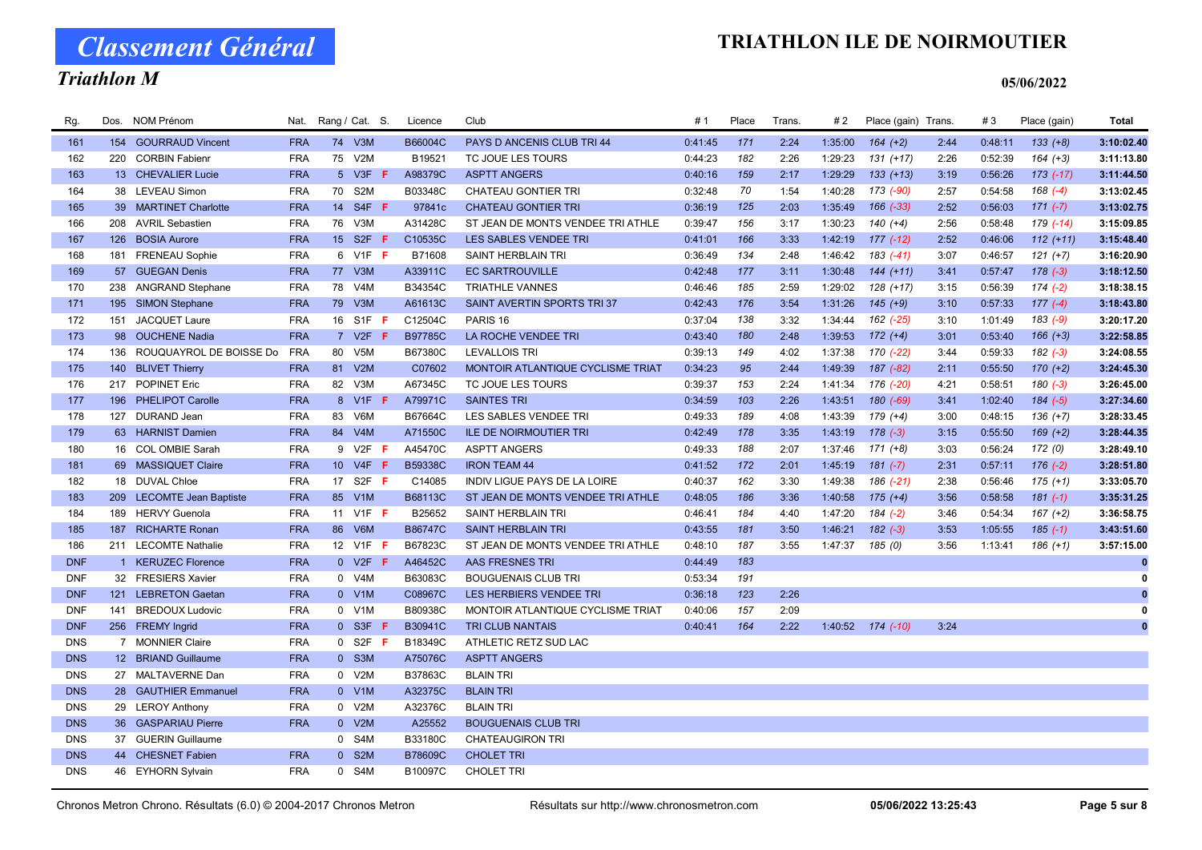Classement Général

# Triathlon M

| Rg.        | Dos. | <b>NOM Prénom</b>           | Nat.       |             | Rang / Cat. S.           | Licence | Club                              | #1      | Place | Trans | # 2     | Place (gain) Trans. |      | #3      | Place (gain) | <b>Total</b> |
|------------|------|-----------------------------|------------|-------------|--------------------------|---------|-----------------------------------|---------|-------|-------|---------|---------------------|------|---------|--------------|--------------|
| 161        |      | 154 GOURRAUD Vincent        | <b>FRA</b> |             | 74 V3M                   | B66004C | PAYS D ANCENIS CLUB TRI 44        | 0:41:45 | 171   | 2:24  | 1:35:00 | $164 (+2)$          | 2:44 | 0:48:11 | $133 (+8)$   | 3:10:02.40   |
| 162        |      | 220 CORBIN Fabienr          | <b>FRA</b> |             | 75 V2M                   | B19521  | TC JOUE LES TOURS                 | 0:44:23 | 182   | 2:26  | 1:29:23 | $131 (+17)$         | 2:26 | 0:52:39 | $164 (+3)$   | 3:11:13.80   |
| 163        |      | 13 CHEVALIER Lucie          | <b>FRA</b> |             | 5 V3F <b>F</b>           | A98379C | <b>ASPTT ANGERS</b>               | 0:40:16 | 159   | 2:17  | 1:29:29 | $133 (+13)$         | 3:19 | 0:56:26 | $173$ (-17)  | 3:11:44.50   |
| 164        |      | 38 LEVEAU Simon             | <b>FRA</b> |             | 70 S2M                   | B03348C | <b>CHATEAU GONTIER TRI</b>        | 0:32:48 | 70    | 1:54  | 1:40:28 | 173 (-90)           | 2:57 | 0:54:58 | $168(-4)$    | 3:13:02.45   |
| 165        |      | 39 MARTINET Charlotte       | <b>FRA</b> |             | 14 S4F F                 | 97841c  | <b>CHATEAU GONTIER TRI</b>        | 0:36:19 | 125   | 2:03  | 1:35:49 | 166 (-33)           | 2:52 | 0:56:03 | $171 (-7)$   | 3:13:02.75   |
| 166        |      | 208 AVRIL Sebastien         | <b>FRA</b> | 76          | V3M                      | A31428C | ST JEAN DE MONTS VENDEE TRI ATHLE | 0:39:47 | 156   | 3:17  | 1:30:23 | $140 (+4)$          | 2:56 | 0:58:48 | 179 (-14)    | 3:15:09.85   |
| 167        | 126  | <b>BOSIA Aurore</b>         | <b>FRA</b> |             | 15 S2F <b>F</b>          | C10535C | LES SABLES VENDEE TRI             | 0:41:01 | 166   | 3:33  | 1:42:19 | $177(-12)$          | 2:52 | 0:46:06 | $112 (+11)$  | 3:15:48.40   |
| 168        | 181  | <b>FRENEAU Sophie</b>       | <b>FRA</b> | 6           | $V1F$ F                  | B71608  | SAINT HERBLAIN TRI                | 0:36:49 | 134   | 2:48  | 1:46:42 | $183( -41)$         | 3:07 | 0:46:57 | $121 (+7)$   | 3:16:20.90   |
| 169        |      | 57 GUEGAN Denis             | <b>FRA</b> |             | 77 V3M                   | A33911C | <b>EC SARTROUVILLE</b>            | 0:42:48 | 177   | 3:11  | 1:30:48 | $144 (+11)$         | 3:41 | 0:57:47 | $178(-3)$    | 3:18:12.50   |
| 170        |      | 238 ANGRAND Stephane        | <b>FRA</b> | 78          | V <sub>4</sub> M         | B34354C | <b>TRIATHLE VANNES</b>            | 0:46:46 | 185   | 2:59  | 1:29:02 | $128 (+17)$         | 3:15 | 0:56:39 | $174(-2)$    | 3:18:38.15   |
| 171        |      | 195 SIMON Stephane          | <b>FRA</b> |             | 79 V3M                   | A61613C | SAINT AVERTIN SPORTS TRI37        | 0:42:43 | 176   | 3:54  | 1:31:26 | $145 (+9)$          | 3:10 | 0:57:33 | $177(-4)$    | 3:18:43.80   |
| 172        |      | 151 JACQUET Laure           | <b>FRA</b> |             | 16 S1F F                 | C12504C | PARIS <sub>16</sub>               | 0:37:04 | 138   | 3:32  | 1:34:44 | 162 (-25)           | 3:10 | 1:01:49 | $183(-9)$    | 3:20:17.20   |
| 173        |      | 98 OUCHENE Nadia            | <b>FRA</b> |             | 7 V2F F                  | B97785C | LA ROCHE VENDEE TRI               | 0:43:40 | 180   | 2:48  | 1:39:53 | $172 (+4)$          | 3:01 | 0:53:40 | $166 (+3)$   | 3:22:58.85   |
| 174        |      | 136 ROUQUAYROL DE BOISSE Do | <b>FRA</b> | 80          | V <sub>5</sub> M         | B67380C | <b>LEVALLOIS TRI</b>              | 0:39:13 | 149   | 4:02  | 1:37:38 | 170 (-22)           | 3:44 | 0:59:33 | $182(-3)$    | 3:24:08.55   |
| 175        |      | 140 BLIVET Thierry          | <b>FRA</b> |             | 81 V2M                   | C07602  | MONTOIR ATLANTIQUE CYCLISME TRIAT | 0:34:23 | 95    | 2:44  | 1:49:39 | 187 (-82)           | 2:11 | 0:55:50 | $170 (+2)$   | 3:24:45.30   |
| 176        |      | 217 POPINET Eric            | <b>FRA</b> | 82          | V3M                      | A67345C | TC JOUE LES TOURS                 | 0:39:37 | 153   | 2:24  | 1:41:34 | 176 (-20)           | 4:21 | 0:58:51 | $180(-3)$    | 3:26:45.00   |
| 177        |      | 196 PHELIPOT Carolle        | <b>FRA</b> |             | 8 V1F F                  | A79971C | <b>SAINTES TRI</b>                | 0:34:59 | 103   | 2:26  | 1:43:51 | $180(-69)$          | 3:41 | 1:02:40 | $184 (-5)$   | 3:27:34.60   |
| 178        |      | 127 DURAND Jean             | <b>FRA</b> | 83          | V6M                      | B67664C | LES SABLES VENDEE TRI             | 0:49:33 | 189   | 4:08  | 1:43:39 | $179 (+4)$          | 3:00 | 0:48:15 | $136 (+7)$   | 3:28:33.45   |
| 179        |      | 63 HARNIST Damien           | <b>FRA</b> |             | 84 V4M                   | A71550C | <b>ILE DE NOIRMOUTIER TRI</b>     | 0:42:49 | 178   | 3:35  | 1:43:19 | $178(-3)$           | 3:15 | 0:55:50 | $169 (+2)$   | 3:28:44.35   |
| 180        |      | 16 COL OMBIE Sarah          | <b>FRA</b> |             | 9 V2F F                  | A45470C | <b>ASPTT ANGERS</b>               | 0:49:33 | 188   | 2:07  | 1:37:46 | $171 (+8)$          | 3:03 | 0:56:24 | 172 (0)      | 3:28:49.10   |
| 181        |      | 69 MASSIQUET Claire         | <b>FRA</b> |             | 10 V4F<br>- F            | B59338C | <b>IRON TEAM 44</b>               | 0:41:52 | 172   | 2:01  | 1:45:19 | $181 (-7)$          | 2:31 | 0:57:11 | $176(-2)$    | 3:28:51.80   |
| 182        |      | 18 DUVAL Chloe              | <b>FRA</b> |             | 17 S2F F                 | C14085  | INDIV LIGUE PAYS DE LA LOIRE      | 0:40:37 | 162   | 3:30  | 1:49:38 | 186 (-21)           | 2:38 | 0:56:46 | $175 (+1)$   | 3:33:05.70   |
| 183        |      | 209 LECOMTE Jean Baptiste   | <b>FRA</b> |             | 85 V1M                   | B68113C | ST JEAN DE MONTS VENDEE TRI ATHLE | 0:48:05 | 186   | 3:36  | 1:40:58 | $175 (+4)$          | 3:56 | 0:58:58 | $181(-1)$    | 3:35:31.25   |
| 184        | 189  | <b>HERVY Guenola</b>        | <b>FRA</b> | 11          | $V1F$ F                  | B25652  | SAINT HERBLAIN TRI                | 0:46:41 | 184   | 4:40  | 1:47:20 | 184 (-2)            | 3:46 | 0:54:34 | $167 (+2)$   | 3:36:58.75   |
| 185        |      | 187 RICHARTE Ronan          | <b>FRA</b> |             | 86 V6M                   | B86747C | <b>SAINT HERBLAIN TRI</b>         | 0:43:55 | 181   | 3:50  | 1:46:21 | $182 (-3)$          | 3:53 | 1:05:55 | $185(-1)$    | 3:43:51.60   |
| 186        |      | 211 LECOMTE Nathalie        | <b>FRA</b> |             | 12 V1F <b>F</b>          | B67823C | ST JEAN DE MONTS VENDEE TRI ATHLE | 0:48:10 | 187   | 3:55  | 1:47:37 | 185 (0)             | 3:56 | 1:13:41 | $186 (+1)$   | 3:57:15.00   |
| <b>DNF</b> |      | 1 KERUZEC Florence          | <b>FRA</b> |             | $0$ V <sub>2</sub> F $F$ | A46452C | AAS FRESNES TRI                   | 0:44:49 | 183   |       |         |                     |      |         |              | 0            |
| <b>DNF</b> |      | 32 FRESIERS Xavier          | <b>FRA</b> |             | 0 V4M                    | B63083C | <b>BOUGUENAIS CLUB TRI</b>        | 0:53:34 | 191   |       |         |                     |      |         |              | 0            |
| <b>DNF</b> |      | 121 LEBRETON Gaetan         | <b>FRA</b> |             | $0$ V1M                  | C08967C | LES HERBIERS VENDEE TRI           | 0:36:18 | 123   | 2:26  |         |                     |      |         |              | $\bf{0}$     |
| <b>DNF</b> | 141  | <b>BREDOUX Ludovic</b>      | <b>FRA</b> |             | 0 V1M                    | B80938C | MONTOIR ATLANTIQUE CYCLISME TRIAT | 0:40:06 | 157   | 2:09  |         |                     |      |         |              | 0            |
| <b>DNF</b> |      | 256 FREMY Ingrid            | <b>FRA</b> |             | $0$ S3F<br>-F            | B30941C | <b>TRI CLUB NANTAIS</b>           | 0:40:41 | 164   | 2:22  | 1:40:52 | 174 (-10)           | 3:24 |         |              | $\bf{0}$     |
| <b>DNS</b> |      | 7 MONNIER Claire            | <b>FRA</b> |             | $0$ S2F<br>- F           | B18349C | ATHLETIC RETZ SUD LAC             |         |       |       |         |                     |      |         |              |              |
| <b>DNS</b> |      | 12 BRIAND Guillaume         | <b>FRA</b> |             | 0 S3M                    | A75076C | <b>ASPTT ANGERS</b>               |         |       |       |         |                     |      |         |              |              |
| <b>DNS</b> |      | 27 MALTAVERNE Dan           | <b>FRA</b> |             | 0 V2M                    | B37863C | <b>BLAIN TRI</b>                  |         |       |       |         |                     |      |         |              |              |
| <b>DNS</b> |      | 28 GAUTHIER Emmanuel        | <b>FRA</b> |             | 0 V1M                    | A32375C | <b>BLAIN TRI</b>                  |         |       |       |         |                     |      |         |              |              |
| <b>DNS</b> |      | 29 LEROY Anthony            | <b>FRA</b> |             | 0 V2M                    | A32376C | <b>BLAIN TRI</b>                  |         |       |       |         |                     |      |         |              |              |
| <b>DNS</b> |      | 36 GASPARIAU Pierre         | <b>FRA</b> |             | 0 V2M                    | A25552  | <b>BOUGUENAIS CLUB TRI</b>        |         |       |       |         |                     |      |         |              |              |
| <b>DNS</b> |      | 37 GUERIN Guillaume         |            | $\mathbf 0$ | S4M                      | B33180C | <b>CHATEAUGIRON TRI</b>           |         |       |       |         |                     |      |         |              |              |
| <b>DNS</b> |      | 44 CHESNET Fabien           | <b>FRA</b> |             | 0 S2M                    | B78609C | <b>CHOLET TRI</b>                 |         |       |       |         |                     |      |         |              |              |
| <b>DNS</b> |      | 46 EYHORN Sylvain           | <b>FRA</b> |             | 0 S4M                    | B10097C | <b>CHOLET TRI</b>                 |         |       |       |         |                     |      |         |              |              |
|            |      |                             |            |             |                          |         |                                   |         |       |       |         |                     |      |         |              |              |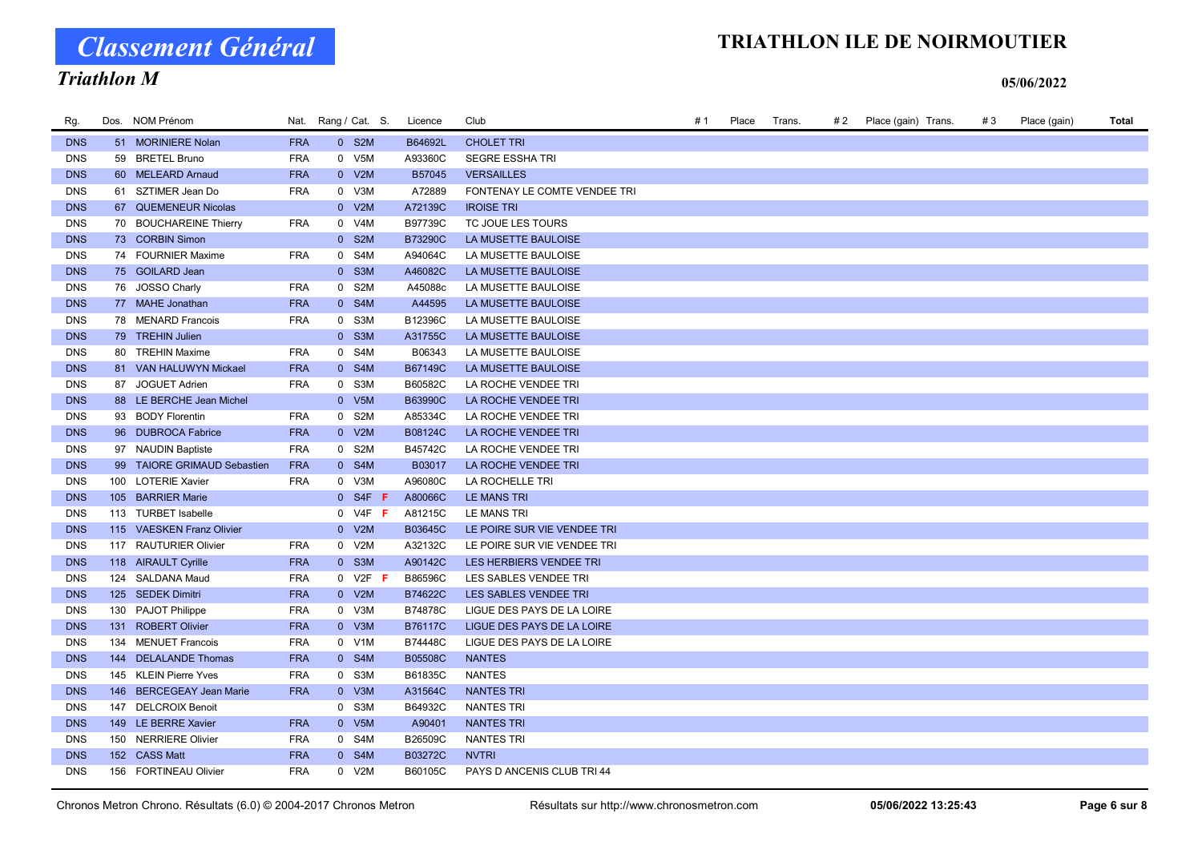# Classement Général

# TRIATHLON ILE DE NOIRMOUTIER

# Triathlon M

| Rg.        | Dos. NOM Prénom             |            | Nat. Rang / Cat. S. |           | Licence | Club                         | # 1 | Place | Trans. | # 2 | Place (gain) Trans. | #3 | Place (gain) | Total |
|------------|-----------------------------|------------|---------------------|-----------|---------|------------------------------|-----|-------|--------|-----|---------------------|----|--------------|-------|
| <b>DNS</b> | 51 MORINIERE Nolan          | <b>FRA</b> |                     | 0 S2M     | B64692L | <b>CHOLET TRI</b>            |     |       |        |     |                     |    |              |       |
| <b>DNS</b> | 59 BRETEL Bruno             | <b>FRA</b> |                     | 0 V5M     | A93360C | <b>SEGRE ESSHA TRI</b>       |     |       |        |     |                     |    |              |       |
| <b>DNS</b> | 60 MELEARD Arnaud           | <b>FRA</b> |                     | 0 V2M     | B57045  | <b>VERSAILLES</b>            |     |       |        |     |                     |    |              |       |
| <b>DNS</b> | 61 SZTIMER Jean Do          | <b>FRA</b> |                     | 0 V3M     | A72889  | FONTENAY LE COMTE VENDEE TRI |     |       |        |     |                     |    |              |       |
| <b>DNS</b> | 67 QUEMENEUR Nicolas        |            |                     | $0$ V2M   | A72139C | <b>IROISE TRI</b>            |     |       |        |     |                     |    |              |       |
| <b>DNS</b> | 70 BOUCHAREINE Thierry      | <b>FRA</b> |                     | 0 V4M     | B97739C | TC JOUE LES TOURS            |     |       |        |     |                     |    |              |       |
| <b>DNS</b> | 73 CORBIN Simon             |            |                     | 0 S2M     | B73290C | LA MUSETTE BAULOISE          |     |       |        |     |                     |    |              |       |
| <b>DNS</b> | 74 FOURNIER Maxime          | <b>FRA</b> |                     | 0 S4M     | A94064C | LA MUSETTE BAULOISE          |     |       |        |     |                     |    |              |       |
| <b>DNS</b> | 75 GOILARD Jean             |            |                     | 0 S3M     | A46082C | LA MUSETTE BAULOISE          |     |       |        |     |                     |    |              |       |
| <b>DNS</b> | 76 JOSSO Charly             | <b>FRA</b> |                     | 0 S2M     | A45088c | LA MUSETTE BAULOISE          |     |       |        |     |                     |    |              |       |
| <b>DNS</b> | 77 MAHE Jonathan            | <b>FRA</b> |                     | 0 S4M     | A44595  | LA MUSETTE BAULOISE          |     |       |        |     |                     |    |              |       |
| <b>DNS</b> | 78 MENARD Francois          | <b>FRA</b> | 0 S3M               |           | B12396C | LA MUSETTE BAULOISE          |     |       |        |     |                     |    |              |       |
| <b>DNS</b> | 79 TREHIN Julien            |            |                     | 0 S3M     | A31755C | LA MUSETTE BAULOISE          |     |       |        |     |                     |    |              |       |
| <b>DNS</b> | 80 TREHIN Maxime            | <b>FRA</b> |                     | 0 S4M     | B06343  | LA MUSETTE BAULOISE          |     |       |        |     |                     |    |              |       |
| <b>DNS</b> | 81 VAN HALUWYN Mickael      | <b>FRA</b> |                     | 0 S4M     | B67149C | LA MUSETTE BAULOISE          |     |       |        |     |                     |    |              |       |
| <b>DNS</b> | 87 JOGUET Adrien            | <b>FRA</b> |                     | 0 S3M     | B60582C | LA ROCHE VENDEE TRI          |     |       |        |     |                     |    |              |       |
| <b>DNS</b> | 88 LE BERCHE Jean Michel    |            |                     | 0 V5M     | B63990C | LA ROCHE VENDEE TRI          |     |       |        |     |                     |    |              |       |
| <b>DNS</b> | 93 BODY Florentin           | <b>FRA</b> |                     | 0 S2M     | A85334C | LA ROCHE VENDEE TRI          |     |       |        |     |                     |    |              |       |
| <b>DNS</b> | 96 DUBROCA Fabrice          | <b>FRA</b> |                     | 0 V2M     | B08124C | LA ROCHE VENDEE TRI          |     |       |        |     |                     |    |              |       |
| <b>DNS</b> | 97 NAUDIN Baptiste          | <b>FRA</b> |                     | 0 S2M     | B45742C | LA ROCHE VENDEE TRI          |     |       |        |     |                     |    |              |       |
| <b>DNS</b> | 99 TAIORE GRIMAUD Sebastien | <b>FRA</b> |                     | 0 S4M     | B03017  | LA ROCHE VENDEE TRI          |     |       |        |     |                     |    |              |       |
| <b>DNS</b> | 100 LOTERIE Xavier          | <b>FRA</b> | 0 V3M               |           | A96080C | LA ROCHELLE TRI              |     |       |        |     |                     |    |              |       |
| <b>DNS</b> | 105 BARRIER Marie           |            |                     | $0$ S4F F | A80066C | LE MANS TRI                  |     |       |        |     |                     |    |              |       |
| <b>DNS</b> | 113 TURBET Isabelle         |            |                     | $0$ V4F F | A81215C | LE MANS TRI                  |     |       |        |     |                     |    |              |       |
| <b>DNS</b> | 115 VAESKEN Franz Olivier   |            |                     | 0 V2M     | B03645C | LE POIRE SUR VIE VENDEE TRI  |     |       |        |     |                     |    |              |       |
| <b>DNS</b> | 117 RAUTURIER Olivier       | <b>FRA</b> |                     | 0 V2M     | A32132C | LE POIRE SUR VIE VENDEE TRI  |     |       |        |     |                     |    |              |       |
| <b>DNS</b> | 118 AIRAULT Cyrille         | <b>FRA</b> |                     | 0 S3M     | A90142C | LES HERBIERS VENDEE TRI      |     |       |        |     |                     |    |              |       |
| <b>DNS</b> | 124 SALDANA Maud            | <b>FRA</b> |                     | $0$ V2F F | B86596C | LES SABLES VENDEE TRI        |     |       |        |     |                     |    |              |       |
| <b>DNS</b> | 125 SEDEK Dimitri           | <b>FRA</b> |                     | 0 V2M     | B74622C | LES SABLES VENDEE TRI        |     |       |        |     |                     |    |              |       |
| <b>DNS</b> | 130 PAJOT Philippe          | <b>FRA</b> |                     | 0 V3M     | B74878C | LIGUE DES PAYS DE LA LOIRE   |     |       |        |     |                     |    |              |       |
| <b>DNS</b> | 131 ROBERT Olivier          | <b>FRA</b> |                     | 0 V3M     | B76117C | LIGUE DES PAYS DE LA LOIRE   |     |       |        |     |                     |    |              |       |
| <b>DNS</b> | 134 MENUET Francois         | <b>FRA</b> |                     | 0 V1M     | B74448C | LIGUE DES PAYS DE LA LOIRE   |     |       |        |     |                     |    |              |       |
| <b>DNS</b> | 144 DELALANDE Thomas        | <b>FRA</b> |                     | 0 S4M     | B05508C | <b>NANTES</b>                |     |       |        |     |                     |    |              |       |
| <b>DNS</b> | 145 KLEIN Pierre Yves       | <b>FRA</b> |                     | 0 S3M     | B61835C | <b>NANTES</b>                |     |       |        |     |                     |    |              |       |
| <b>DNS</b> | 146 BERCEGEAY Jean Marie    | <b>FRA</b> |                     | 0 V3M     | A31564C | <b>NANTES TRI</b>            |     |       |        |     |                     |    |              |       |
| <b>DNS</b> | 147 DELCROIX Benoit         |            |                     | 0 S3M     | B64932C | <b>NANTES TRI</b>            |     |       |        |     |                     |    |              |       |
| <b>DNS</b> | 149 LE BERRE Xavier         | <b>FRA</b> |                     | 0 V5M     | A90401  | <b>NANTES TRI</b>            |     |       |        |     |                     |    |              |       |
| <b>DNS</b> | 150 NERRIERE Olivier        | <b>FRA</b> |                     | 0 S4M     | B26509C | <b>NANTES TRI</b>            |     |       |        |     |                     |    |              |       |
| <b>DNS</b> | 152 CASS Matt               | <b>FRA</b> |                     | 0 S4M     | B03272C | <b>NVTRI</b>                 |     |       |        |     |                     |    |              |       |
| <b>DNS</b> | 156 FORTINEAU Olivier       | <b>FRA</b> |                     | 0 V2M     | B60105C | PAYS D ANCENIS CLUB TRI 44   |     |       |        |     |                     |    |              |       |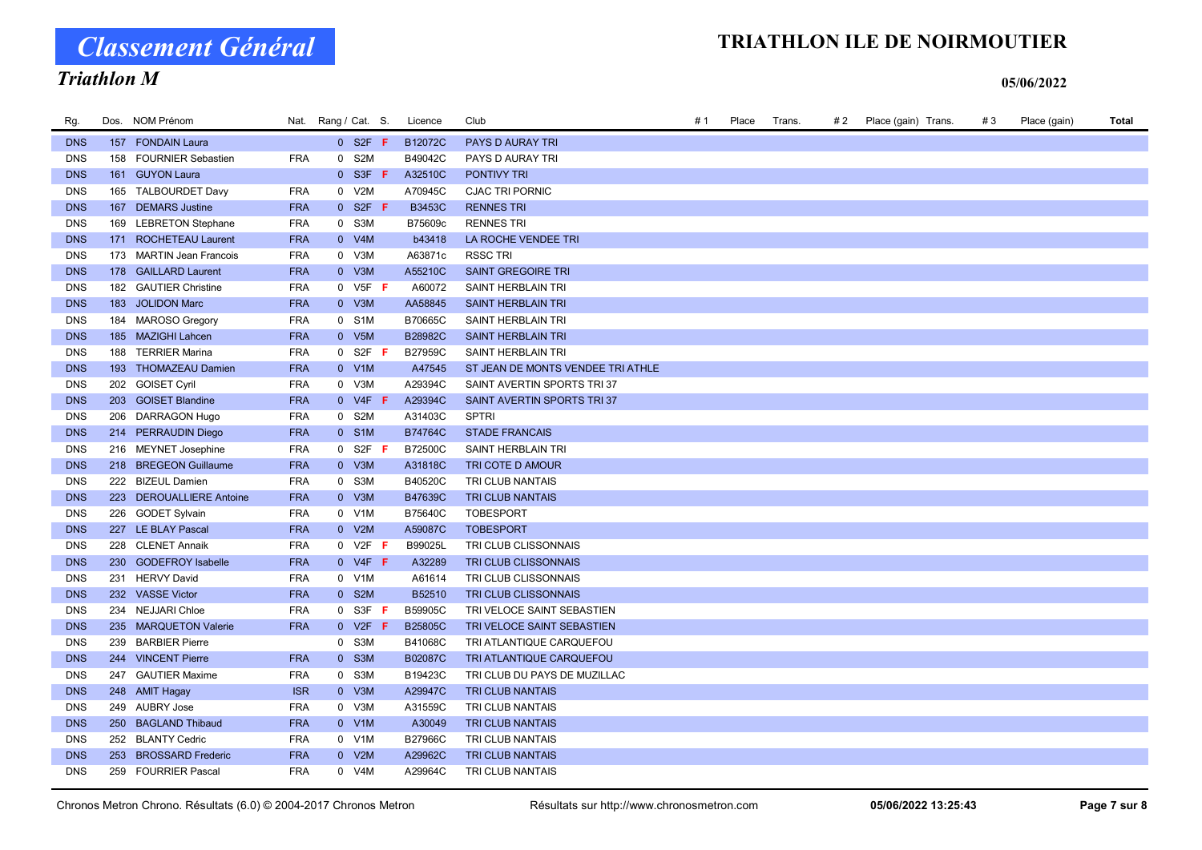# Classement Général

# TRIATHLON ILE DE NOIRMOUTIER

### Triathlon M

| Rg.        | Dos. NOM Prénom          |            | Nat. Rang / Cat. S.           | Licence        | Club                              | #1 | Place | Trans. | # 2 | Place (gain) Trans. | #3 | Place (gain) | Total |
|------------|--------------------------|------------|-------------------------------|----------------|-----------------------------------|----|-------|--------|-----|---------------------|----|--------------|-------|
| <b>DNS</b> | 157 FONDAIN Laura        |            | $0$ S <sub>2</sub> F <b>F</b> | B12072C        | PAYS D AURAY TRI                  |    |       |        |     |                     |    |              |       |
| <b>DNS</b> | 158 FOURNIER Sebastien   | <b>FRA</b> | 0 S2M                         | B49042C        | PAYS D AURAY TRI                  |    |       |        |     |                     |    |              |       |
| <b>DNS</b> | 161 GUYON Laura          |            | $0$ S3F F                     | A32510C        | PONTIVY TRI                       |    |       |        |     |                     |    |              |       |
| <b>DNS</b> | 165 TALBOURDET Davy      | <b>FRA</b> | 0 V2M                         | A70945C        | <b>CJAC TRI PORNIC</b>            |    |       |        |     |                     |    |              |       |
| <b>DNS</b> | 167 DEMARS Justine       | <b>FRA</b> | $0$ S <sub>2F</sub> F         | <b>B3453C</b>  | <b>RENNES TRI</b>                 |    |       |        |     |                     |    |              |       |
| <b>DNS</b> | 169 LEBRETON Stephane    | <b>FRA</b> | 0 S3M                         | B75609c        | <b>RENNES TRI</b>                 |    |       |        |     |                     |    |              |       |
| <b>DNS</b> | 171 ROCHETEAU Laurent    | <b>FRA</b> | 0 V4M                         | b43418         | LA ROCHE VENDEE TRI               |    |       |        |     |                     |    |              |       |
| <b>DNS</b> | 173 MARTIN Jean Francois | <b>FRA</b> | 0 V3M                         | A63871c        | <b>RSSC TRI</b>                   |    |       |        |     |                     |    |              |       |
| <b>DNS</b> | 178 GAILLARD Laurent     | <b>FRA</b> | $0$ V3M                       | A55210C        | <b>SAINT GREGOIRE TRI</b>         |    |       |        |     |                     |    |              |       |
| <b>DNS</b> | 182 GAUTIER Christine    | <b>FRA</b> | $0$ V <sub>5</sub> F <b>F</b> | A60072         | SAINT HERBLAIN TRI                |    |       |        |     |                     |    |              |       |
| <b>DNS</b> | 183 JOLIDON Marc         | <b>FRA</b> | 0 V3M                         | AA58845        | SAINT HERBLAIN TRI                |    |       |        |     |                     |    |              |       |
| <b>DNS</b> | 184 MAROSO Gregory       | <b>FRA</b> | 0 S1M                         | B70665C        | SAINT HERBLAIN TRI                |    |       |        |     |                     |    |              |       |
| <b>DNS</b> | 185 MAZIGHI Lahcen       | <b>FRA</b> | 0 V5M                         | B28982C        | SAINT HERBLAIN TRI                |    |       |        |     |                     |    |              |       |
| <b>DNS</b> | 188 TERRIER Marina       | <b>FRA</b> | $0$ S2F F                     | B27959C        | SAINT HERBLAIN TRI                |    |       |        |     |                     |    |              |       |
| <b>DNS</b> | 193 THOMAZEAU Damien     | <b>FRA</b> | $0$ V1M                       | A47545         | ST JEAN DE MONTS VENDEE TRI ATHLE |    |       |        |     |                     |    |              |       |
| <b>DNS</b> | 202 GOISET Cyril         | <b>FRA</b> | 0 V3M                         | A29394C        | SAINT AVERTIN SPORTS TRI37        |    |       |        |     |                     |    |              |       |
| <b>DNS</b> | 203 GOISET Blandine      | <b>FRA</b> | $0$ V4F F                     | A29394C        | SAINT AVERTIN SPORTS TRI 37       |    |       |        |     |                     |    |              |       |
| <b>DNS</b> | 206 DARRAGON Hugo        | <b>FRA</b> | 0 S2M                         | A31403C        | <b>SPTRI</b>                      |    |       |        |     |                     |    |              |       |
| <b>DNS</b> | 214 PERRAUDIN Diego      | <b>FRA</b> | 0 S1M                         | B74764C        | <b>STADE FRANCAIS</b>             |    |       |        |     |                     |    |              |       |
| <b>DNS</b> | 216 MEYNET Josephine     | <b>FRA</b> | $0$ S2F F                     | B72500C        | SAINT HERBLAIN TRI                |    |       |        |     |                     |    |              |       |
| <b>DNS</b> | 218 BREGEON Guillaume    | <b>FRA</b> | 0 V3M                         | A31818C        | TRI COTE D AMOUR                  |    |       |        |     |                     |    |              |       |
| <b>DNS</b> | 222 BIZEUL Damien        | <b>FRA</b> | 0 S3M                         | B40520C        | TRI CLUB NANTAIS                  |    |       |        |     |                     |    |              |       |
| <b>DNS</b> | 223 DEROUALLIERE Antoine | <b>FRA</b> | $0$ V3M                       | B47639C        | TRI CLUB NANTAIS                  |    |       |        |     |                     |    |              |       |
| <b>DNS</b> | 226 GODET Sylvain        | <b>FRA</b> | 0 V1M                         | B75640C        | <b>TOBESPORT</b>                  |    |       |        |     |                     |    |              |       |
| <b>DNS</b> | 227 LE BLAY Pascal       | <b>FRA</b> | 0 V2M                         | A59087C        | <b>TOBESPORT</b>                  |    |       |        |     |                     |    |              |       |
| <b>DNS</b> | 228 CLENET Annaik        | <b>FRA</b> | $0$ V2F F                     | B99025L        | TRI CLUB CLISSONNAIS              |    |       |        |     |                     |    |              |       |
| <b>DNS</b> | 230 GODEFROY Isabelle    | <b>FRA</b> | $0$ V4F F                     | A32289         | <b>TRI CLUB CLISSONNAIS</b>       |    |       |        |     |                     |    |              |       |
| <b>DNS</b> | 231 HERVY David          | <b>FRA</b> | 0 V1M                         | A61614         | TRI CLUB CLISSONNAIS              |    |       |        |     |                     |    |              |       |
| <b>DNS</b> | 232 VASSE Victor         | <b>FRA</b> | 0 S2M                         | B52510         | TRI CLUB CLISSONNAIS              |    |       |        |     |                     |    |              |       |
| <b>DNS</b> | 234 NEJJARI Chloe        | <b>FRA</b> | $0$ S3F F                     | B59905C        | TRI VELOCE SAINT SEBASTIEN        |    |       |        |     |                     |    |              |       |
| <b>DNS</b> | 235 MARQUETON Valerie    | <b>FRA</b> | $0$ V2F F                     | <b>B25805C</b> | TRI VELOCE SAINT SEBASTIEN        |    |       |        |     |                     |    |              |       |
| <b>DNS</b> | 239 BARBIER Pierre       |            | 0 S3M                         | B41068C        | TRI ATLANTIQUE CARQUEFOU          |    |       |        |     |                     |    |              |       |
| <b>DNS</b> | 244 VINCENT Pierre       | <b>FRA</b> | 0 S3M                         | B02087C        | TRI ATLANTIQUE CARQUEFOU          |    |       |        |     |                     |    |              |       |
| <b>DNS</b> | 247 GAUTIER Maxime       | <b>FRA</b> | 0 S3M                         | B19423C        | TRI CLUB DU PAYS DE MUZILLAC      |    |       |        |     |                     |    |              |       |
| <b>DNS</b> | 248 AMIT Hagay           | <b>ISR</b> | 0 V3M                         | A29947C        | TRI CLUB NANTAIS                  |    |       |        |     |                     |    |              |       |
| <b>DNS</b> | 249 AUBRY Jose           | <b>FRA</b> | 0 V3M                         | A31559C        | TRI CLUB NANTAIS                  |    |       |        |     |                     |    |              |       |
| <b>DNS</b> | 250 BAGLAND Thibaud      | <b>FRA</b> | 0 V1M                         | A30049         | TRI CLUB NANTAIS                  |    |       |        |     |                     |    |              |       |
| <b>DNS</b> | 252 BLANTY Cedric        | <b>FRA</b> | 0 V1M                         | B27966C        | TRI CLUB NANTAIS                  |    |       |        |     |                     |    |              |       |
| <b>DNS</b> | 253 BROSSARD Frederic    | <b>FRA</b> | 0 V2M                         | A29962C        | TRI CLUB NANTAIS                  |    |       |        |     |                     |    |              |       |
| <b>DNS</b> | 259 FOURRIER Pascal      | <b>FRA</b> | 0 V4M                         | A29964C        | TRI CLUB NANTAIS                  |    |       |        |     |                     |    |              |       |